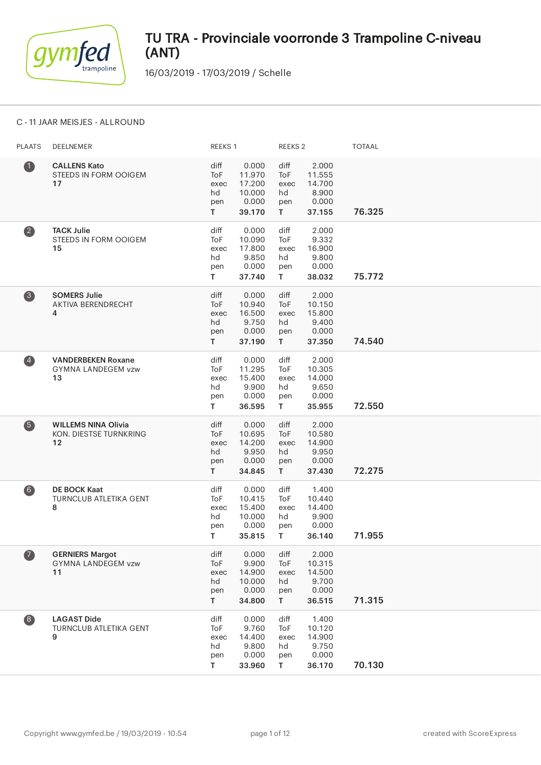

16/03/2019 - 17/03/2019 / Schelle

### C - 11 JAAR MEISJES - ALLROUND

| <b>PLAATS</b>     | DEELNEMER                                                    | REEKS 1                                |                                                        | REEKS <sub>2</sub>                            |                                                       | <b>TOTAAL</b> |
|-------------------|--------------------------------------------------------------|----------------------------------------|--------------------------------------------------------|-----------------------------------------------|-------------------------------------------------------|---------------|
| $\bullet$         | <b>CALLENS Kato</b><br>STEEDS IN FORM OOIGEM<br>17           | diff<br>ToF<br>exec<br>hd<br>pen<br>T. | 0.000<br>11.970<br>17.200<br>10.000<br>0.000<br>39.170 | diff<br>ToF<br>exec<br>hd<br>pen<br>T.        | 2.000<br>11.555<br>14.700<br>8.900<br>0.000<br>37.155 | 76.325        |
| $\left( 2\right)$ | <b>TACK Julie</b><br>STEEDS IN FORM OOIGEM<br>15             | diff<br>ToF<br>exec<br>hd<br>pen<br>T. | 0.000<br>10.090<br>17.800<br>9.850<br>0.000<br>37.740  | diff<br>ToF<br>exec<br>hd<br>pen<br>T.        | 2.000<br>9.332<br>16.900<br>9.800<br>0.000<br>38.032  | 75.772        |
| $\bullet$         | <b>SOMERS Julie</b><br>AKTIVA BERENDRECHT<br>4               | diff<br>ToF<br>exec<br>hd<br>pen<br>T. | 0.000<br>10.940<br>16.500<br>9.750<br>0.000<br>37.190  | diff<br>ToF<br>exec<br>hd<br>pen<br>T.        | 2.000<br>10.150<br>15.800<br>9.400<br>0.000<br>37.350 | 74.540        |
| $\left( 4\right)$ | <b>VANDERBEKEN Roxane</b><br><b>GYMNA LANDEGEM vzw</b><br>13 | diff<br>ToF<br>exec<br>hd<br>pen<br>T. | 0.000<br>11.295<br>15.400<br>9.900<br>0.000<br>36.595  | diff<br>ToF<br>exec<br>hd<br>pen<br>T.        | 2.000<br>10.305<br>14.000<br>9.650<br>0.000<br>35.955 | 72.550        |
| 6                 | <b>WILLEMS NINA Olivia</b><br>KON. DIESTSE TURNKRING<br>12   | diff<br>ToF<br>exec<br>hd<br>pen<br>T. | 0.000<br>10.695<br>14.200<br>9.950<br>0.000<br>34.845  | diff<br><b>ToF</b><br>exec<br>hd<br>pen<br>T. | 2.000<br>10.580<br>14.900<br>9.950<br>0.000<br>37.430 | 72.275        |
| $6$               | <b>DE BOCK Kaat</b><br>TURNCLUB ATLETIKA GENT<br>8           | diff<br>ToF<br>exec<br>hd<br>pen<br>T. | 0.000<br>10.415<br>15.400<br>10.000<br>0.000<br>35.815 | diff<br>ToF<br>exec<br>hd<br>pen<br>T.        | 1.400<br>10.440<br>14.400<br>9.900<br>0.000<br>36.140 | 71.955        |
| $\bullet$         | <b>GERNIERS Margot</b><br><b>GYMNA LANDEGEM vzw</b><br>11    | diff<br>ToF<br>exec<br>hd<br>pen<br>T. | 0.000<br>9.900<br>14.900<br>10.000<br>0.000<br>34.800  | diff<br>ToF<br>exec<br>hd<br>pen<br>T.        | 2.000<br>10.315<br>14.500<br>9.700<br>0.000<br>36.515 | 71.315        |
| $\left( 8\right)$ | <b>LAGAST Dide</b><br>TURNCLUB ATLETIKA GENT<br>9            | diff<br>ToF<br>exec<br>hd<br>pen<br>T  | 0.000<br>9.760<br>14.400<br>9.800<br>0.000<br>33.960   | diff<br>ToF<br>exec<br>hd<br>pen<br>T.        | 1.400<br>10.120<br>14.900<br>9.750<br>0.000<br>36.170 | 70.130        |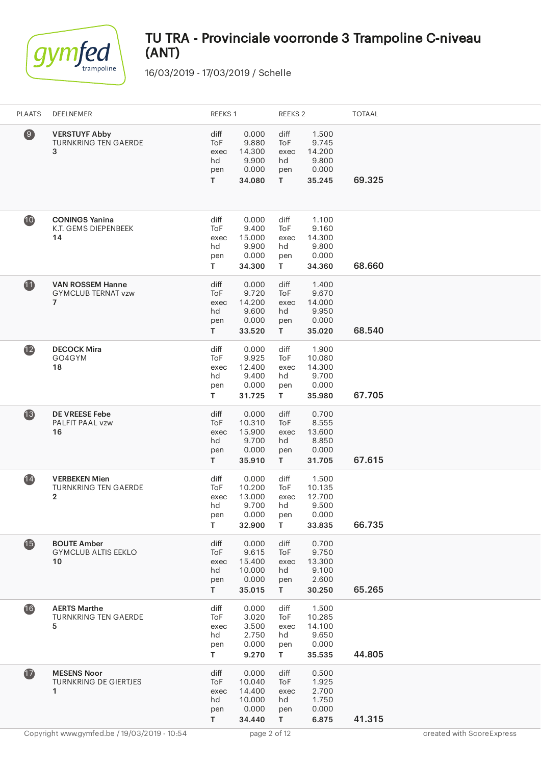

| <b>PLAATS</b>    | DEELNEMER                                                              | REEKS 1                                |                                                        | REEKS <sub>2</sub>                     |                                                       | <b>TOTAAL</b> |
|------------------|------------------------------------------------------------------------|----------------------------------------|--------------------------------------------------------|----------------------------------------|-------------------------------------------------------|---------------|
| $\left(9\right)$ | <b>VERSTUYF Abby</b><br>TURNKRING TEN GAERDE<br>3                      | diff<br>ToF<br>exec<br>hd<br>pen<br>T. | 0.000<br>9.880<br>14.300<br>9.900<br>0.000<br>34.080   | diff<br>ToF<br>exec<br>hd<br>pen<br>T  | 1.500<br>9.745<br>14.200<br>9.800<br>0.000<br>35.245  | 69.325        |
| 10               | <b>CONINGS Yanina</b><br>K.T. GEMS DIEPENBEEK<br>14                    | diff<br>ToF<br>exec<br>hd<br>pen<br>T. | 0.000<br>9.400<br>15.000<br>9.900<br>0.000<br>34.300   | diff<br>ToF<br>exec<br>hd<br>pen<br>T. | 1.100<br>9.160<br>14.300<br>9.800<br>0.000<br>34.360  | 68.660        |
| $\bf{1}$         | <b>VAN ROSSEM Hanne</b><br><b>GYMCLUB TERNAT vzw</b><br>$\overline{7}$ | diff<br>ToF<br>exec<br>hd<br>pen<br>T. | 0.000<br>9.720<br>14.200<br>9.600<br>0.000<br>33.520   | diff<br>ToF<br>exec<br>hd<br>pen<br>T. | 1.400<br>9.670<br>14.000<br>9.950<br>0.000<br>35.020  | 68.540        |
| $\mathbf{12}$    | <b>DECOCK Mira</b><br>GO4GYM<br>18                                     | diff<br>ToF<br>exec<br>hd<br>pen<br>T. | 0.000<br>9.925<br>12.400<br>9.400<br>0.000<br>31.725   | diff<br>ToF<br>exec<br>hd<br>pen<br>T  | 1.900<br>10.080<br>14.300<br>9.700<br>0.000<br>35.980 | 67.705        |
| $\overline{13}$  | <b>DE VREESE Febe</b><br>PALFIT PAAL vzw<br>16                         | diff<br>ToF<br>exec<br>hd<br>pen<br>T. | 0.000<br>10.310<br>15.900<br>9.700<br>0.000<br>35.910  | diff<br>ToF<br>exec<br>hd<br>pen<br>T. | 0.700<br>8.555<br>13.600<br>8.850<br>0.000<br>31.705  | 67.615        |
| $\overline{14}$  | <b>VERBEKEN Mien</b><br><b>TURNKRING TEN GAERDE</b><br>2               | diff<br>ToF<br>exec<br>hd<br>pen<br>T. | 0.000<br>10.200<br>13.000<br>9.700<br>0.000<br>32.900  | diff<br>ToF<br>exec<br>hd<br>pen<br>T  | 1.500<br>10.135<br>12.700<br>9.500<br>0.000<br>33.835 | 66.735        |
| <b>15</b>        | <b>BOUTE Amber</b><br><b>GYMCLUB ALTIS EEKLO</b><br>10                 | diff<br>ToF<br>exec<br>hd<br>pen<br>T. | 0.000<br>9.615<br>15.400<br>10.000<br>0.000<br>35.015  | diff<br>ToF<br>exec<br>hd<br>pen<br>T  | 0.700<br>9.750<br>13.300<br>9.100<br>2.600<br>30.250  | 65.265        |
| 16               | <b>AERTS Marthe</b><br>TURNKRING TEN GAERDE<br>5                       | diff<br>ToF<br>exec<br>hd<br>pen<br>T. | 0.000<br>3.020<br>3.500<br>2.750<br>0.000<br>9.270     | diff<br>ToF<br>exec<br>hd<br>pen<br>T. | 1.500<br>10.285<br>14.100<br>9.650<br>0.000<br>35.535 | 44.805        |
| $\mathbf{D}$     | <b>MESENS Noor</b><br>TURNKRING DE GIERTJES<br>1                       | diff<br>ToF<br>exec<br>hd<br>pen<br>T. | 0.000<br>10.040<br>14.400<br>10.000<br>0.000<br>34.440 | diff<br>ToF<br>exec<br>hd<br>pen<br>T. | 0.500<br>1.925<br>2.700<br>1.750<br>0.000<br>6.875    | 41.315        |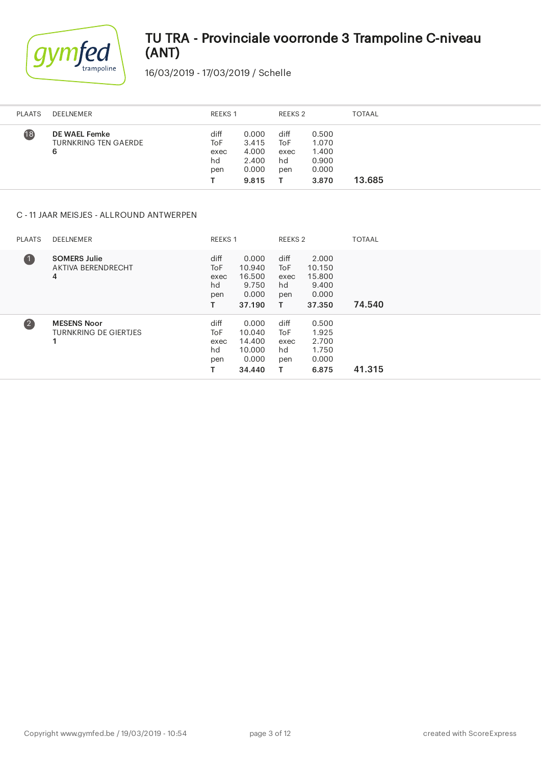

16/03/2019 - 17/03/2019 / Schelle

| <b>PLAATS</b> | DEELNEMER                                         | REEKS 1                          |                                                    | REEKS 2                          |                                                    | <b>TOTAAL</b> |
|---------------|---------------------------------------------------|----------------------------------|----------------------------------------------------|----------------------------------|----------------------------------------------------|---------------|
| (18)          | DE WAEL Femke<br><b>TURNKRING TEN GAERDE</b><br>6 | diff<br>ToF<br>exec<br>hd<br>pen | 0.000<br>3.415<br>4.000<br>2.400<br>0.000<br>9.815 | diff<br>ToF<br>exec<br>hd<br>pen | 0.500<br>1.070<br>1.400<br>0.900<br>0.000<br>3.870 | 13.685        |

### C - 11 JAAR MEISJES - ALLROUND ANTWERPEN

| <b>PLAATS</b>     | DEELNEMER                                               |                                         | <b>REEKS 1</b>                                         |                                       | REEKS 2                                               | <b>TOTAAL</b> |
|-------------------|---------------------------------------------------------|-----------------------------------------|--------------------------------------------------------|---------------------------------------|-------------------------------------------------------|---------------|
| $\blacksquare$    | <b>SOMERS Julie</b><br>AKTIVA BERENDRECHT<br>4          | diff<br><b>ToF</b><br>exec<br>hd<br>pen | 0.000<br>10.940<br>16.500<br>9.750<br>0.000<br>37.190  | diff<br>ToF<br>exec<br>hd<br>pen<br>т | 2.000<br>10.150<br>15.800<br>9.400<br>0.000<br>37.350 | 74.540        |
| $\left( 2\right)$ | <b>MESENS Noor</b><br><b>TURNKRING DE GIERTJES</b><br>1 | diff<br><b>ToF</b><br>exec<br>hd<br>pen | 0.000<br>10.040<br>14.400<br>10.000<br>0.000<br>34.440 | diff<br>ToF<br>exec<br>hd<br>pen      | 0.500<br>1.925<br>2.700<br>1.750<br>0.000<br>6.875    | 41.315        |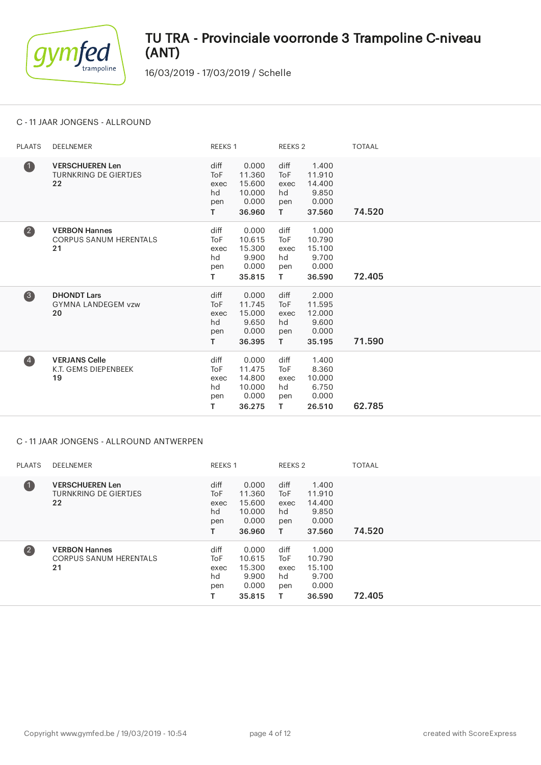

16/03/2019 - 17/03/2019 / Schelle

### C - 11 JAAR JONGENS - ALLROUND

| <b>PLAATS</b>           | <b>DEELNEMER</b>                                             | REEKS 1                                            |                                                        | REEKS <sub>2</sub>                                 |                                                       | <b>TOTAAL</b> |
|-------------------------|--------------------------------------------------------------|----------------------------------------------------|--------------------------------------------------------|----------------------------------------------------|-------------------------------------------------------|---------------|
| $\bullet$               | <b>VERSCHUEREN Len</b><br><b>TURNKRING DE GIERTJES</b><br>22 | diff<br>To <sub>F</sub><br>exec<br>hd<br>pen<br>T. | 0.000<br>11.360<br>15.600<br>10.000<br>0.000<br>36.960 | diff<br>To <sub>F</sub><br>exec<br>hd<br>pen<br>T  | 1.400<br>11.910<br>14.400<br>9.850<br>0.000<br>37.560 | 74.520        |
| $\overline{\mathbf{2}}$ | <b>VERBON Hannes</b><br><b>CORPUS SANUM HERENTALS</b><br>21  | diff<br><b>ToF</b><br>exec<br>hd<br>pen<br>T.      | 0.000<br>10.615<br>15.300<br>9.900<br>0.000<br>35.815  | diff<br>ToF<br>exec<br>hd<br>pen<br>T.             | 1.000<br>10.790<br>15.100<br>9.700<br>0.000<br>36.590 | 72.405        |
| 3                       | <b>DHONDT Lars</b><br><b>GYMNA LANDEGEM vzw</b><br>20        | diff<br><b>ToF</b><br>exec<br>hd<br>pen<br>T.      | 0.000<br>11.745<br>15.000<br>9.650<br>0.000<br>36.395  | diff<br>To <sub>F</sub><br>exec<br>hd<br>pen<br>T. | 2.000<br>11.595<br>12.000<br>9.600<br>0.000<br>35.195 | 71.590        |
| $\overline{\mathbf{A}}$ | <b>VERJANS Celle</b><br>K.T. GEMS DIEPENBEEK<br>19           | diff<br><b>ToF</b><br>exec<br>hd<br>pen<br>т       | 0.000<br>11.475<br>14.800<br>10.000<br>0.000<br>36.275 | diff<br>ToF<br>exec<br>hd<br>pen<br>T.             | 1.400<br>8.360<br>10.000<br>6.750<br>0.000<br>26.510  | 62.785        |

#### C - 11 JAAR JONGENS - ALLROUND ANTWERPEN

| <b>PLAATS</b>           | DEELNEMER                                                    | <b>REEKS 1</b>                        |                                                        |                                       | REEKS 2                                               | <b>TOTAAL</b> |
|-------------------------|--------------------------------------------------------------|---------------------------------------|--------------------------------------------------------|---------------------------------------|-------------------------------------------------------|---------------|
| $\blacksquare$          | <b>VERSCHUEREN Len</b><br><b>TURNKRING DE GIERTJES</b><br>22 | diff<br>ToF<br>exec<br>hd<br>pen<br>т | 0.000<br>11.360<br>15.600<br>10.000<br>0.000<br>36.960 | diff<br>ToF<br>exec<br>hd<br>pen<br>т | 1.400<br>11.910<br>14.400<br>9.850<br>0.000<br>37.560 | 74.520        |
| $\overline{\mathbf{2}}$ | <b>VERBON Hannes</b><br><b>CORPUS SANUM HERENTALS</b><br>21  | diff<br>ToF<br>exec<br>hd<br>pen<br>т | 0.000<br>10.615<br>15.300<br>9.900<br>0.000<br>35.815  | diff<br>ToF<br>exec<br>hd<br>pen      | 1.000<br>10.790<br>15.100<br>9.700<br>0.000<br>36.590 | 72.405        |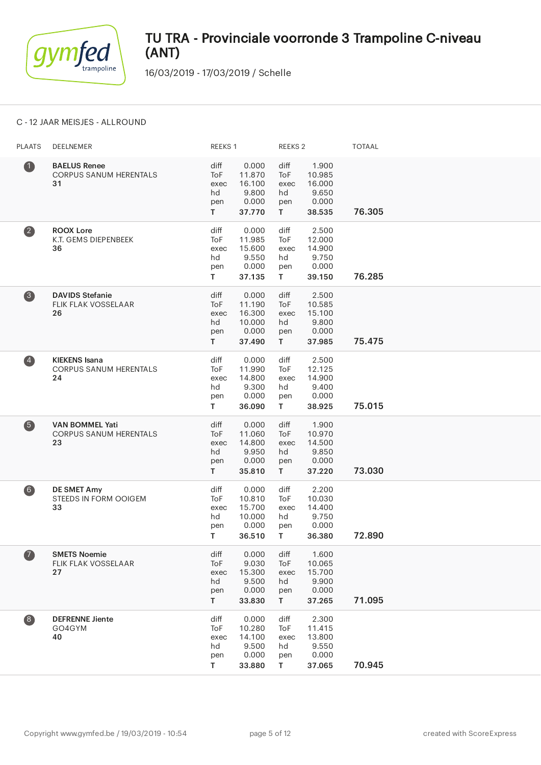

16/03/2019 - 17/03/2019 / Schelle

### C - 12 JAAR MEISJES - ALLROUND

| <b>PLAATS</b>                                  | DEELNEMER                                                     | REEKS 1                                |                                                        | REEKS <sub>2</sub>                     |                                                       | <b>TOTAAL</b> |
|------------------------------------------------|---------------------------------------------------------------|----------------------------------------|--------------------------------------------------------|----------------------------------------|-------------------------------------------------------|---------------|
| $\bf 0$                                        | <b>BAELUS Renee</b><br><b>CORPUS SANUM HERENTALS</b><br>31    | diff<br>ToF<br>exec<br>hd<br>pen<br>T. | 0.000<br>11.870<br>16.100<br>9.800<br>0.000<br>37.770  | diff<br>ToF<br>exec<br>hd<br>pen<br>T. | 1.900<br>10.985<br>16.000<br>9.650<br>0.000<br>38.535 | 76.305        |
| $\boldsymbol{2}$                               | <b>ROOX Lore</b><br>K.T. GEMS DIEPENBEEK<br>36                | diff<br>ToF<br>exec<br>hd<br>pen<br>T. | 0.000<br>11.985<br>15.600<br>9.550<br>0.000<br>37.135  | diff<br>ToF<br>exec<br>hd<br>pen<br>T. | 2.500<br>12.000<br>14.900<br>9.750<br>0.000<br>39.150 | 76.285        |
| 3                                              | <b>DAVIDS Stefanie</b><br>FLIK FLAK VOSSELAAR<br>26           | diff<br>ToF<br>exec<br>hd<br>pen<br>T. | 0.000<br>11.190<br>16.300<br>10.000<br>0.000<br>37.490 | diff<br>ToF<br>exec<br>hd<br>pen<br>T. | 2.500<br>10.585<br>15.100<br>9.800<br>0.000<br>37.985 | 75.475        |
| $\left( \begin{matrix} 4 \end{matrix} \right)$ | <b>KIEKENS Isana</b><br><b>CORPUS SANUM HERENTALS</b><br>24   | diff<br>ToF<br>exec<br>hd<br>pen<br>T. | 0.000<br>11.990<br>14.800<br>9.300<br>0.000<br>36.090  | diff<br>ToF<br>exec<br>hd<br>pen<br>T. | 2.500<br>12.125<br>14.900<br>9.400<br>0.000<br>38.925 | 75.015        |
| 6                                              | <b>VAN BOMMEL Yati</b><br><b>CORPUS SANUM HERENTALS</b><br>23 | diff<br>ToF<br>exec<br>hd<br>pen<br>T. | 0.000<br>11.060<br>14.800<br>9.950<br>0.000<br>35.810  | diff<br>ToF<br>exec<br>hd<br>pen<br>T. | 1.900<br>10.970<br>14.500<br>9.850<br>0.000<br>37.220 | 73.030        |
| 6)                                             | <b>DE SMET Amy</b><br><b>STEEDS IN FORM OOIGEM</b><br>33      | diff<br>ToF<br>exec<br>hd<br>pen<br>T. | 0.000<br>10.810<br>15.700<br>10.000<br>0.000<br>36.510 | diff<br>ToF<br>exec<br>hd<br>pen<br>T. | 2.200<br>10.030<br>14.400<br>9.750<br>0.000<br>36.380 | 72.890        |
| $\bullet$                                      | <b>SMETS Noemie</b><br><b>FLIK FLAK VOSSELAAR</b><br>27       | diff<br>ToF<br>exec<br>hd<br>pen<br>T. | 0.000<br>9.030<br>15.300<br>9.500<br>0.000<br>33.830   | diff<br>ToF<br>exec<br>hd<br>pen<br>T. | 1.600<br>10.065<br>15.700<br>9.900<br>0.000<br>37.265 | 71.095        |
| $\bullet$                                      | <b>DEFRENNE Jiente</b><br>GO4GYM<br>40                        | diff<br>ToF<br>exec<br>hd<br>pen<br>T. | 0.000<br>10.280<br>14.100<br>9.500<br>0.000<br>33.880  | diff<br>ToF<br>exec<br>hd<br>pen<br>T  | 2.300<br>11.415<br>13.800<br>9.550<br>0.000<br>37.065 | 70.945        |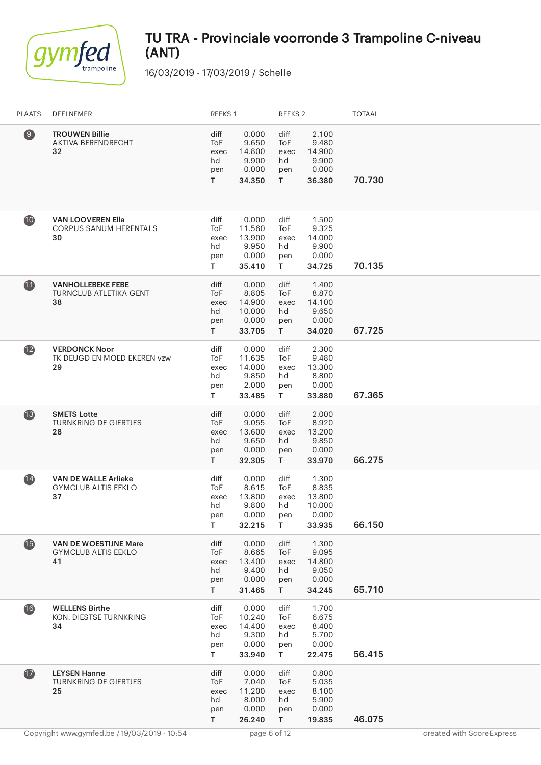

| <b>PLAATS</b>     | DEELNEMER                                                        | REEKS 1                                            |                                                       | REEKS 2                                       |                                                       | <b>TOTAAL</b> |
|-------------------|------------------------------------------------------------------|----------------------------------------------------|-------------------------------------------------------|-----------------------------------------------|-------------------------------------------------------|---------------|
| $\left( 9\right)$ | <b>TROUWEN Billie</b><br>AKTIVA BERENDRECHT<br>32                | diff<br>ToF<br>exec<br>hd<br>pen<br>T.             | 0.000<br>9.650<br>14.800<br>9.900<br>0.000<br>34.350  | diff<br>ToF<br>exec<br>hd<br>pen<br>T         | 2.100<br>9.480<br>14.900<br>9.900<br>0.000<br>36.380  | 70.730        |
| 10                | <b>VAN LOOVEREN Ella</b><br><b>CORPUS SANUM HERENTALS</b><br>30  | diff<br>ToF<br>exec<br>hd<br>pen<br>T.             | 0.000<br>11.560<br>13.900<br>9.950<br>0.000<br>35.410 | diff<br>ToF<br>exec<br>hd<br>pen<br>T.        | 1.500<br>9.325<br>14.000<br>9.900<br>0.000<br>34.725  | 70.135        |
| 1                 | <b>VANHOLLEBEKE FEBE</b><br><b>TURNCLUB ATLETIKA GENT</b><br>38  | diff<br>To <sub>F</sub><br>exec<br>hd<br>pen<br>T. | 0.000<br>8.805<br>14.900<br>10.000<br>0.000<br>33.705 | diff<br>ToF<br>exec<br>hd<br>pen<br>T.        | 1.400<br>8.870<br>14.100<br>9.650<br>0.000<br>34.020  | 67.725        |
| $\mathbf{12}$     | <b>VERDONCK Noor</b><br>TK DEUGD EN MOED EKEREN vzw<br>29        | diff<br>ToF<br>exec<br>hd<br>pen<br>T.             | 0.000<br>11.635<br>14.000<br>9.850<br>2.000<br>33.485 | diff<br>ToF<br>exec<br>hd<br>pen<br>T.        | 2.300<br>9.480<br>13.300<br>8.800<br>0.000<br>33.880  | 67.365        |
| $\mathbf{13}$     | <b>SMETS Lotte</b><br><b>TURNKRING DE GIERTJES</b><br>28         | diff<br>ToF<br>exec<br>hd<br>pen<br>T.             | 0.000<br>9.055<br>13.600<br>9.650<br>0.000<br>32.305  | diff<br><b>ToF</b><br>exec<br>hd<br>pen<br>T. | 2.000<br>8.920<br>13.200<br>9.850<br>0.000<br>33.970  | 66.275        |
| $\overline{14}$   | <b>VAN DE WALLE Arlieke</b><br><b>GYMCLUB ALTIS EEKLO</b><br>37  | diff<br>ToF<br>exec<br>hd<br>pen<br>T.             | 0.000<br>8.615<br>13.800<br>9.800<br>0.000<br>32.215  | diff<br>ToF<br>exec<br>hd<br>pen<br>T         | 1.300<br>8.835<br>13.800<br>10.000<br>0.000<br>33.935 | 66.150        |
| $\bullet$         | <b>VAN DE WOESTIJNE Mare</b><br><b>GYMCLUB ALTIS EEKLO</b><br>41 | diff<br>ToF<br>exec<br>hd<br>pen<br>T.             | 0.000<br>8.665<br>13.400<br>9.400<br>0.000<br>31.465  | diff<br>ToF<br>exec<br>hd<br>pen<br>T.        | 1.300<br>9.095<br>14.800<br>9.050<br>0.000<br>34.245  | 65.710        |
| 16                | <b>WELLENS Birthe</b><br>KON. DIESTSE TURNKRING<br>34            | diff<br>ToF<br>exec<br>hd<br>pen<br>T              | 0.000<br>10.240<br>14.400<br>9.300<br>0.000<br>33.940 | diff<br>ToF<br>exec<br>hd<br>pen<br>T         | 1.700<br>6.675<br>8.400<br>5.700<br>0.000<br>22.475   | 56.415        |
| $\mathbf{r}$      | <b>LEYSEN Hanne</b><br>TURNKRING DE GIERTJES<br>25               | diff<br>ToF<br>exec<br>hd<br>pen<br>T.             | 0.000<br>7.040<br>11.200<br>8.000<br>0.000<br>26.240  | diff<br>ToF<br>exec<br>hd<br>pen<br>T.        | 0.800<br>5.035<br>8.100<br>5.900<br>0.000<br>19.835   | 46.075        |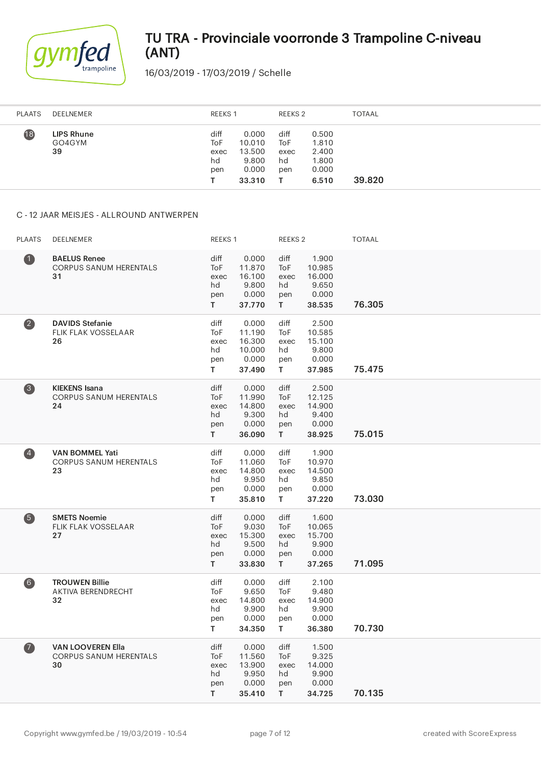

16/03/2019 - 17/03/2019 / Schelle

| <b>PLAATS</b><br>DEELNEMER                           |                                  | <b>REEKS1</b>                                         |                                  | REEKS 2                                            | <b>TOTAAL</b> |
|------------------------------------------------------|----------------------------------|-------------------------------------------------------|----------------------------------|----------------------------------------------------|---------------|
| $\overline{18}$<br><b>LIPS Rhune</b><br>GO4GYM<br>39 | diff<br>ToF<br>exec<br>hd<br>pen | 0.000<br>10.010<br>13.500<br>9.800<br>0.000<br>33.310 | diff<br>ToF<br>exec<br>hd<br>pen | 0.500<br>1.810<br>2.400<br>1.800<br>0.000<br>6.510 | 39.820        |

#### C - 12 JAAR MEISJES - ALLROUND ANTWERPEN

| <b>PLAATS</b>           | DEELNEMER                                                       | REEKS 1                                       |                                                        | REEKS <sub>2</sub>                            |                                                       | <b>TOTAAL</b> |
|-------------------------|-----------------------------------------------------------------|-----------------------------------------------|--------------------------------------------------------|-----------------------------------------------|-------------------------------------------------------|---------------|
| $\blacksquare$          | <b>BAELUS Renee</b><br>CORPUS SANUM HERENTALS<br>31             | diff<br>ToF<br>exec<br>hd<br>pen<br>T.        | 0.000<br>11.870<br>16.100<br>9.800<br>0.000<br>37.770  | diff<br><b>ToF</b><br>exec<br>hd<br>pen<br>T. | 1.900<br>10.985<br>16.000<br>9.650<br>0.000<br>38.535 | 76.305        |
| $\overline{\mathbf{2}}$ | <b>DAVIDS Stefanie</b><br><b>FLIK FLAK VOSSELAAR</b><br>26      | diff<br>ToF<br>exec<br>hd<br>pen<br>T.        | 0.000<br>11.190<br>16.300<br>10.000<br>0.000<br>37.490 | diff<br>ToF<br>exec<br>hd<br>pen<br>T.        | 2.500<br>10.585<br>15.100<br>9.800<br>0.000<br>37.985 | 75.475        |
| $\bullet$               | <b>KIEKENS Isana</b><br>CORPUS SANUM HERENTALS<br>24            | diff<br>ToF<br>exec<br>hd<br>pen<br>T.        | 0.000<br>11.990<br>14.800<br>9.300<br>0.000<br>36.090  | diff<br>ToF<br>exec<br>hd<br>pen<br>T.        | 2.500<br>12.125<br>14.900<br>9.400<br>0.000<br>38.925 | 75.015        |
| $\overline{4}$          | <b>VAN BOMMEL Yati</b><br><b>CORPUS SANUM HERENTALS</b><br>23   | diff<br>ToF<br>exec<br>hd<br>pen<br>T         | 0.000<br>11.060<br>14.800<br>9.950<br>0.000<br>35.810  | diff<br>ToF<br>exec<br>hd<br>pen<br>T.        | 1.900<br>10.970<br>14.500<br>9.850<br>0.000<br>37.220 | 73.030        |
| 6                       | <b>SMETS Noemie</b><br><b>FLIK FLAK VOSSELAAR</b><br>27         | diff<br>ToF<br>exec<br>hd<br>pen<br>T.        | 0.000<br>9.030<br>15.300<br>9.500<br>0.000<br>33.830   | diff<br>ToF<br>exec<br>hd<br>pen<br>T.        | 1.600<br>10.065<br>15.700<br>9.900<br>0.000<br>37.265 | 71.095        |
| 6)                      | <b>TROUWEN Billie</b><br>AKTIVA BERENDRECHT<br>32               | diff<br>ToF<br>exec<br>hd<br>pen<br>T.        | 0.000<br>9.650<br>14.800<br>9.900<br>0.000<br>34.350   | diff<br>ToF<br>exec<br>hd<br>pen<br>T.        | 2.100<br>9.480<br>14.900<br>9.900<br>0.000<br>36.380  | 70.730        |
| $\bullet$               | <b>VAN LOOVEREN Ella</b><br><b>CORPUS SANUM HERENTALS</b><br>30 | diff<br><b>ToF</b><br>exec<br>hd<br>pen<br>T. | 0.000<br>11.560<br>13.900<br>9.950<br>0.000<br>35.410  | diff<br><b>ToF</b><br>exec<br>hd<br>pen<br>T. | 1.500<br>9.325<br>14.000<br>9.900<br>0.000<br>34.725  | 70.135        |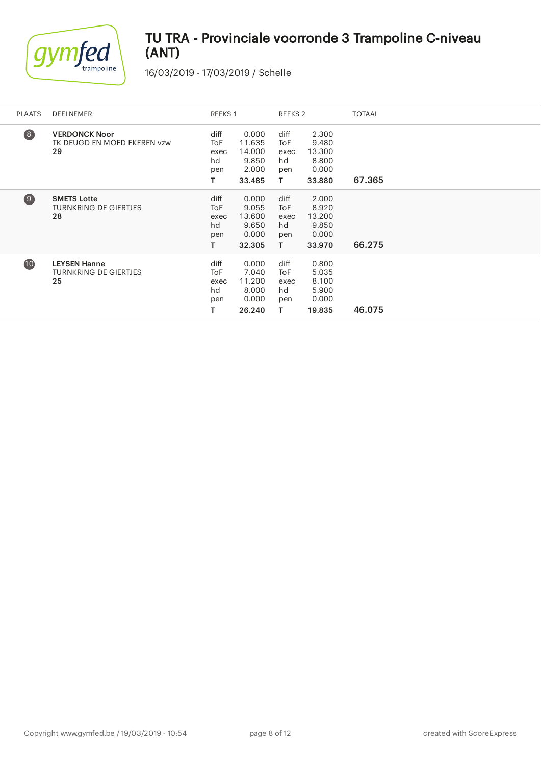

| PLAATS   | DEELNEMER                                                 | REEKS 1                                           |                                                       | REEKS <sub>2</sub>                     |                                                      | <b>TOTAAL</b> |
|----------|-----------------------------------------------------------|---------------------------------------------------|-------------------------------------------------------|----------------------------------------|------------------------------------------------------|---------------|
| 8        | <b>VERDONCK Noor</b><br>TK DEUGD EN MOED EKEREN vzw<br>29 | diff<br>ToF<br>exec<br>hd<br>pen<br>т             | 0.000<br>11.635<br>14.000<br>9.850<br>2.000<br>33.485 | diff<br>ToF<br>exec<br>hd<br>pen<br>T. | 2.300<br>9.480<br>13.300<br>8.800<br>0.000<br>33.880 | 67.365        |
| $\Theta$ | <b>SMETS Lotte</b><br><b>TURNKRING DE GIERTJES</b><br>28  | diff<br>To <sub>F</sub><br>exec<br>hd<br>pen<br>T | 0.000<br>9.055<br>13.600<br>9.650<br>0.000<br>32.305  | diff<br>ToF<br>exec<br>hd<br>pen<br>T. | 2.000<br>8.920<br>13.200<br>9.850<br>0.000<br>33.970 | 66.275        |
| 10       | <b>LEYSEN Hanne</b><br><b>TURNKRING DE GIERTJES</b><br>25 | diff<br>To <sub>F</sub><br>exec<br>hd<br>pen<br>т | 0.000<br>7.040<br>11.200<br>8.000<br>0.000<br>26.240  | diff<br>ToF<br>exec<br>hd<br>pen<br>т  | 0.800<br>5.035<br>8.100<br>5.900<br>0.000<br>19.835  | 46.075        |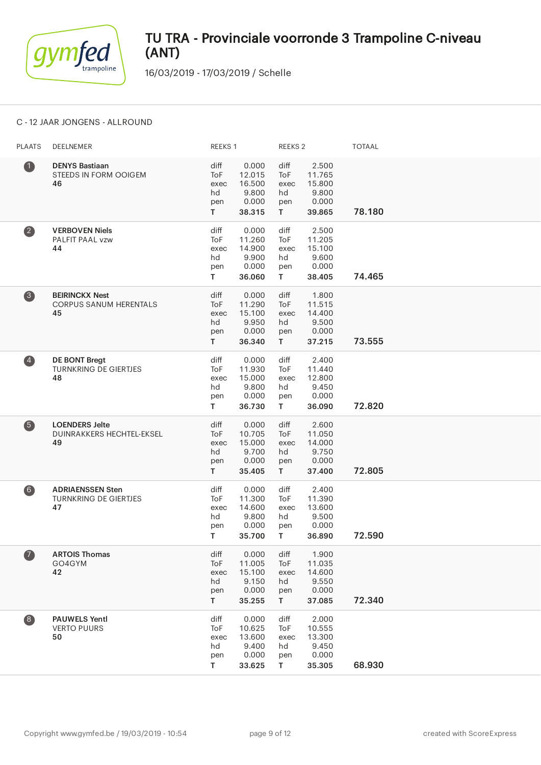

16/03/2019 - 17/03/2019 / Schelle

### C - 12 JAAR JONGENS - ALLROUND

| <b>PLAATS</b>                           | DEELNEMER                                                     | REEKS 1                                |                                                       | <b>REEKS 2</b>                         |                                                       | <b>TOTAAL</b> |
|-----------------------------------------|---------------------------------------------------------------|----------------------------------------|-------------------------------------------------------|----------------------------------------|-------------------------------------------------------|---------------|
| $\bullet$                               | <b>DENYS Bastiaan</b><br>STEEDS IN FORM OOIGEM<br>46          | diff<br>ToF<br>exec<br>hd<br>pen<br>T. | 0.000<br>12.015<br>16.500<br>9.800<br>0.000<br>38.315 | diff<br>ToF<br>exec<br>hd<br>pen<br>T. | 2.500<br>11.765<br>15.800<br>9.800<br>0.000<br>39.865 | 78.180        |
| $\bullet$                               | <b>VERBOVEN Niels</b><br>PALFIT PAAL vzw<br>44                | diff<br>ToF<br>exec<br>hd<br>pen<br>T. | 0.000<br>11.260<br>14.900<br>9.900<br>0.000<br>36.060 | diff<br>ToF<br>exec<br>hd<br>pen<br>T. | 2.500<br>11.205<br>15.100<br>9.600<br>0.000<br>38.405 | 74.465        |
| 3                                       | <b>BEIRINCKX Nest</b><br><b>CORPUS SANUM HERENTALS</b><br>45  | diff<br>ToF<br>exec<br>hd<br>pen<br>T. | 0.000<br>11.290<br>15.100<br>9.950<br>0.000<br>36.340 | diff<br>ToF<br>exec<br>hd<br>pen<br>T. | 1.800<br>11.515<br>14.400<br>9.500<br>0.000<br>37.215 | 73.555        |
| $\overline{\mathbf{A}}$                 | <b>DE BONT Bregt</b><br><b>TURNKRING DE GIERTJES</b><br>48    | diff<br>ToF<br>exec<br>hd<br>pen<br>T. | 0.000<br>11.930<br>15.000<br>9.800<br>0.000<br>36.730 | diff<br>ToF<br>exec<br>hd<br>pen<br>T. | 2.400<br>11.440<br>12.800<br>9.450<br>0.000<br>36.090 | 72.820        |
| 6                                       | <b>LOENDERS Jelte</b><br>DUINRAKKERS HECHTEL-EKSEL<br>49      | diff<br>ToF<br>exec<br>hd<br>pen<br>T. | 0.000<br>10.705<br>15.000<br>9.700<br>0.000<br>35.405 | diff<br>ToF<br>exec<br>hd<br>pen<br>T. | 2.600<br>11.050<br>14.000<br>9.750<br>0.000<br>37.400 | 72.805        |
| 6)                                      | <b>ADRIAENSSEN Sten</b><br><b>TURNKRING DE GIERTJES</b><br>47 | diff<br>ToF<br>exec<br>hd<br>pen<br>T. | 0.000<br>11.300<br>14.600<br>9.800<br>0.000<br>35.700 | diff<br>ToF<br>exec<br>hd<br>pen<br>T. | 2.400<br>11.390<br>13.600<br>9.500<br>0.000<br>36.890 | 72.590        |
| $\bullet$                               | <b>ARTOIS Thomas</b><br>GO4GYM<br>42                          | diff<br>ToF<br>exec<br>hd<br>pen<br>T. | 0.000<br>11.005<br>15.100<br>9.150<br>0.000<br>35.255 | diff<br>ToF<br>exec<br>hd<br>pen<br>T. | 1.900<br>11.035<br>14.600<br>9.550<br>0.000<br>37.085 | 72.340        |
| $\begin{array}{c} \hline 8 \end{array}$ | <b>PAUWELS Yentl</b><br><b>VERTO PUURS</b><br>50              | diff<br>ToF<br>exec<br>hd<br>pen<br>T. | 0.000<br>10.625<br>13.600<br>9.400<br>0.000<br>33.625 | diff<br>ToF<br>exec<br>hd<br>pen<br>T  | 2.000<br>10.555<br>13.300<br>9.450<br>0.000<br>35.305 | 68.930        |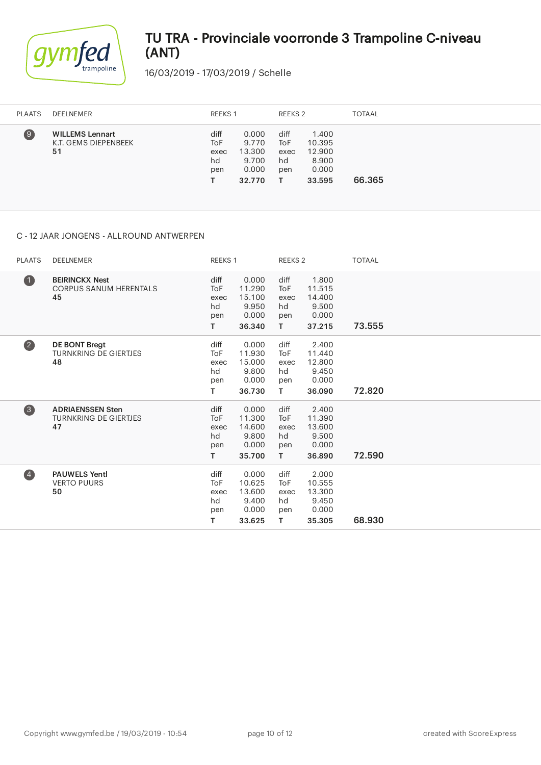

16/03/2019 - 17/03/2019 / Schelle

| <b>PLAATS</b>     | DEELNEMER                                            | REEKS 1                          |                                                      | REEKS 2                          |                                                       | <b>TOTAAL</b> |
|-------------------|------------------------------------------------------|----------------------------------|------------------------------------------------------|----------------------------------|-------------------------------------------------------|---------------|
| $\left( 9\right)$ | <b>WILLEMS Lennart</b><br>K.T. GEMS DIEPENBEEK<br>51 | diff<br>ToF<br>exec<br>hd<br>pen | 0.000<br>9.770<br>13.300<br>9.700<br>0.000<br>32.770 | diff<br>ToF<br>exec<br>hd<br>pen | 1.400<br>10.395<br>12.900<br>8.900<br>0.000<br>33.595 | 66.365        |

### C - 12 JAAR JONGENS - ALLROUND ANTWERPEN

| <b>PLAATS</b>           | DEELNEMER                                                     | REEKS 1                                      |                                                       | REEKS <sub>2</sub>                            |                                                       | <b>TOTAAL</b> |
|-------------------------|---------------------------------------------------------------|----------------------------------------------|-------------------------------------------------------|-----------------------------------------------|-------------------------------------------------------|---------------|
| $\bullet$               | <b>BEIRINCKX Nest</b><br><b>CORPUS SANUM HERENTALS</b><br>45  | diff<br><b>ToF</b><br>exec<br>hd<br>pen<br>Τ | 0.000<br>11.290<br>15.100<br>9.950<br>0.000<br>36.340 | diff<br><b>ToF</b><br>exec<br>hd<br>pen<br>T. | 1.800<br>11.515<br>14.400<br>9.500<br>0.000<br>37.215 | 73.555        |
| $\overline{\mathbf{2}}$ | DE BONT Bregt<br><b>TURNKRING DE GIERTJES</b><br>48           | diff<br><b>ToF</b><br>exec<br>hd<br>pen<br>т | 0.000<br>11.930<br>15.000<br>9.800<br>0.000<br>36.730 | diff<br><b>ToF</b><br>exec<br>hd<br>pen<br>T. | 2.400<br>11.440<br>12.800<br>9.450<br>0.000<br>36.090 | 72.820        |
| 6                       | <b>ADRIAENSSEN Sten</b><br><b>TURNKRING DE GIERTJES</b><br>47 | diff<br><b>ToF</b><br>exec<br>hd<br>pen<br>т | 0.000<br>11.300<br>14.600<br>9.800<br>0.000<br>35.700 | diff<br><b>ToF</b><br>exec<br>hd<br>pen<br>T. | 2.400<br>11.390<br>13.600<br>9.500<br>0.000<br>36.890 | 72.590        |
| $\overline{\mathbf{A}}$ | <b>PAUWELS Yentl</b><br><b>VERTO PUURS</b><br>50              | diff<br><b>ToF</b><br>exec<br>hd<br>pen<br>т | 0.000<br>10.625<br>13.600<br>9.400<br>0.000<br>33.625 | diff<br><b>ToF</b><br>exec<br>hd<br>pen<br>T. | 2.000<br>10.555<br>13.300<br>9.450<br>0.000<br>35.305 | 68.930        |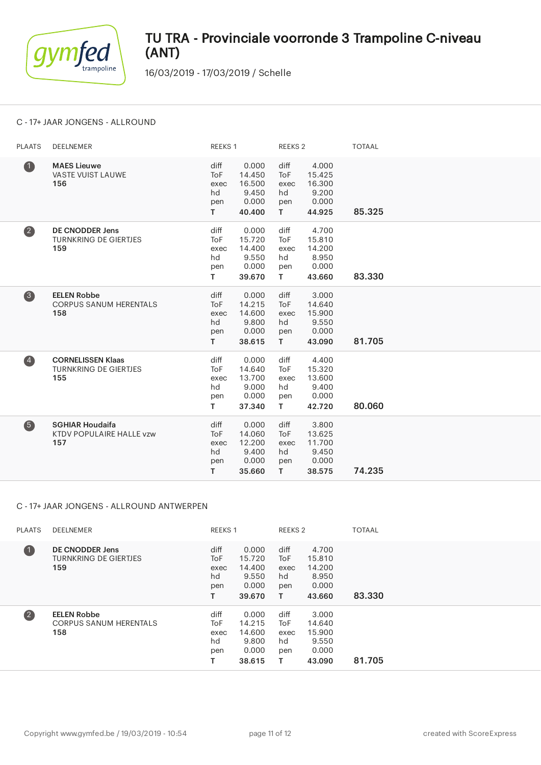

16/03/2019 - 17/03/2019 / Schelle

### C - 17+ JAAR JONGENS - ALLROUND

| <b>PLAATS</b>           | DEELNEMER                                                       | REEKS 1                                       |                                                       | REEKS <sub>2</sub>                            |                                                       | <b>TOTAAL</b> |
|-------------------------|-----------------------------------------------------------------|-----------------------------------------------|-------------------------------------------------------|-----------------------------------------------|-------------------------------------------------------|---------------|
| $\bullet$               | <b>MAES Lieuwe</b><br><b>VASTE VUIST LAUWE</b><br>156           | diff<br><b>ToF</b><br>exec<br>hd<br>pen<br>T. | 0.000<br>14.450<br>16.500<br>9.450<br>0.000<br>40.400 | diff<br><b>ToF</b><br>exec<br>hd<br>pen<br>T  | 4.000<br>15.425<br>16.300<br>9.200<br>0.000<br>44.925 | 85.325        |
| $\overline{\mathbf{2}}$ | <b>DE CNODDER Jens</b><br><b>TURNKRING DE GIERTJES</b><br>159   | diff<br><b>ToF</b><br>exec<br>hd<br>pen<br>T. | 0.000<br>15.720<br>14.400<br>9.550<br>0.000<br>39.670 | diff<br><b>ToF</b><br>exec<br>hd<br>pen<br>T. | 4.700<br>15.810<br>14.200<br>8.950<br>0.000<br>43.660 | 83.330        |
| 8                       | <b>EELEN Robbe</b><br><b>CORPUS SANUM HERENTALS</b><br>158      | diff<br><b>ToF</b><br>exec<br>hd<br>pen<br>T. | 0.000<br>14.215<br>14.600<br>9.800<br>0.000<br>38.615 | diff<br><b>ToF</b><br>exec<br>hd<br>pen<br>T. | 3.000<br>14.640<br>15.900<br>9.550<br>0.000<br>43.090 | 81.705        |
| $\overline{\mathbf{A}}$ | <b>CORNELISSEN Klaas</b><br><b>TURNKRING DE GIERTJES</b><br>155 | diff<br><b>ToF</b><br>exec<br>hd<br>pen<br>T. | 0.000<br>14.640<br>13.700<br>9.000<br>0.000<br>37.340 | diff<br><b>ToF</b><br>exec<br>hd<br>pen<br>T. | 4.400<br>15.320<br>13.600<br>9.400<br>0.000<br>42.720 | 80.060        |
| 6                       | <b>SGHIAR Houdaifa</b><br>KTDV POPULAIRE HALLE vzw<br>157       | diff<br><b>ToF</b><br>exec<br>hd<br>pen<br>T. | 0.000<br>14.060<br>12.200<br>9.400<br>0.000<br>35.660 | diff<br><b>ToF</b><br>exec<br>hd<br>pen<br>T. | 3.800<br>13.625<br>11.700<br>9.450<br>0.000<br>38.575 | 74.235        |

### C - 17+ JAAR JONGENS - ALLROUND ANTWERPEN

| <b>PLAATS</b>           | DEELNEMER                                                     | <b>REEKS 1</b>                   |                                                       | REEKS 2                               |                                                       | <b>TOTAAL</b> |
|-------------------------|---------------------------------------------------------------|----------------------------------|-------------------------------------------------------|---------------------------------------|-------------------------------------------------------|---------------|
| $\blacksquare$          | <b>DE CNODDER Jens</b><br><b>TURNKRING DE GIERTJES</b><br>159 | diff<br>ToF<br>exec<br>hd<br>pen | 0.000<br>15.720<br>14.400<br>9.550<br>0.000<br>39.670 | diff<br>ToF<br>exec<br>hd<br>pen<br>т | 4.700<br>15.810<br>14.200<br>8.950<br>0.000<br>43.660 | 83.330        |
| $\overline{\mathbf{2}}$ | <b>EELEN Robbe</b><br><b>CORPUS SANUM HERENTALS</b><br>158    | diff<br>ToF<br>exec<br>hd<br>pen | 0.000<br>14.215<br>14.600<br>9.800<br>0.000<br>38.615 | diff<br>ToF<br>exec<br>hd<br>pen<br>т | 3.000<br>14.640<br>15.900<br>9.550<br>0.000<br>43.090 | 81.705        |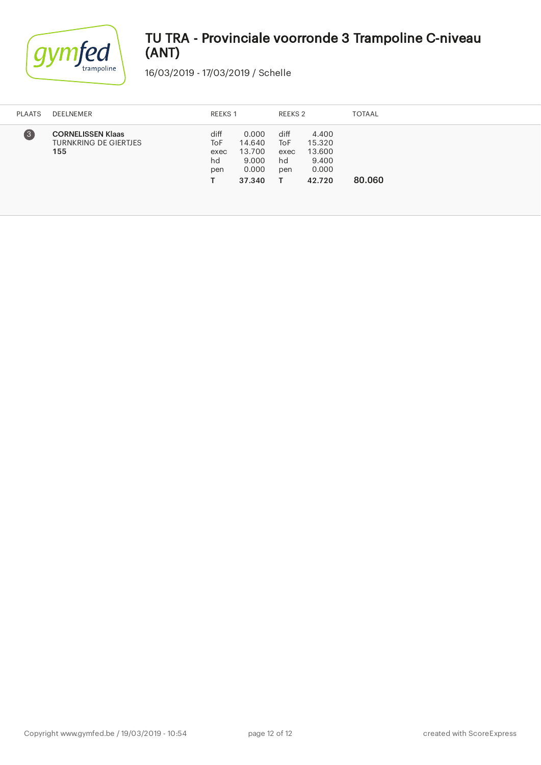

| <b>PLAATS</b>    | DEELNEMER                                                       | REEKS 1                          |                                                       | REEKS 2                          |                                                       | <b>TOTAAL</b> |
|------------------|-----------------------------------------------------------------|----------------------------------|-------------------------------------------------------|----------------------------------|-------------------------------------------------------|---------------|
| $\left(3\right)$ | <b>CORNELISSEN Klaas</b><br><b>TURNKRING DE GIERTJES</b><br>155 | diff<br>ToF<br>exec<br>hd<br>pen | 0.000<br>14.640<br>13.700<br>9.000<br>0.000<br>37.340 | diff<br>ToF<br>exec<br>hd<br>pen | 4.400<br>15.320<br>13.600<br>9.400<br>0.000<br>42.720 | 80.060        |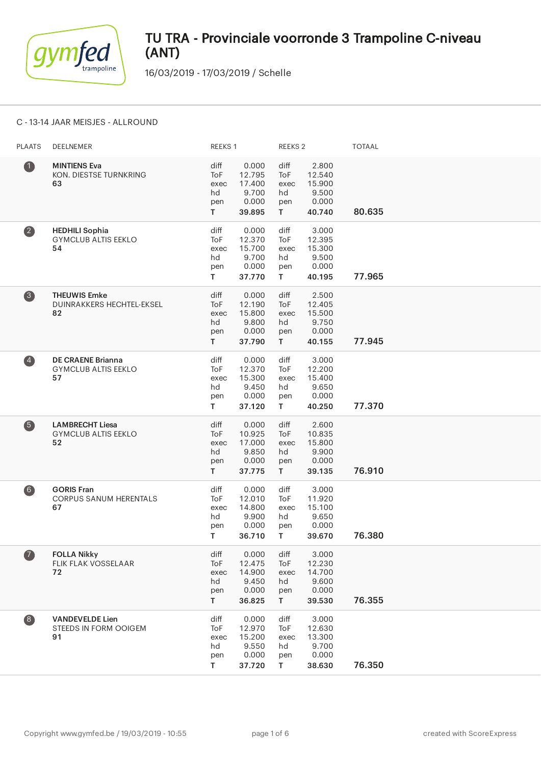

16/03/2019 - 17/03/2019 / Schelle

### C - 13-14 JAAR MEISJES - ALLROUND

| <b>PLAATS</b>           | DEELNEMER                                                    | REEKS 1                                |                                                       | <b>REEKS 2</b>                         |                                                       | <b>TOTAAL</b> |
|-------------------------|--------------------------------------------------------------|----------------------------------------|-------------------------------------------------------|----------------------------------------|-------------------------------------------------------|---------------|
| $\bullet$               | <b>MINTIENS Eva</b><br>KON. DIESTSE TURNKRING<br>63          | diff<br>ToF<br>exec<br>hd<br>pen<br>T. | 0.000<br>12.795<br>17.400<br>9.700<br>0.000<br>39.895 | diff<br>ToF<br>exec<br>hd<br>pen<br>T. | 2.800<br>12.540<br>15.900<br>9.500<br>0.000<br>40.740 | 80.635        |
| $\bullet$               | <b>HEDHILI Sophia</b><br><b>GYMCLUB ALTIS EEKLO</b><br>54    | diff<br>ToF<br>exec<br>hd<br>pen<br>T. | 0.000<br>12.370<br>15.700<br>9.700<br>0.000<br>37.770 | diff<br>ToF<br>exec<br>hd<br>pen<br>T. | 3.000<br>12.395<br>15.300<br>9.500<br>0.000<br>40.195 | 77.965        |
| 8                       | <b>THEUWIS Emke</b><br>DUINRAKKERS HECHTEL-EKSEL<br>82       | diff<br>ToF<br>exec<br>hd<br>pen<br>T. | 0.000<br>12.190<br>15.800<br>9.800<br>0.000<br>37.790 | diff<br>ToF<br>exec<br>hd<br>pen<br>T. | 2.500<br>12.405<br>15.500<br>9.750<br>0.000<br>40.155 | 77.945        |
| $\overline{\mathbf{A}}$ | <b>DE CRAENE Brianna</b><br><b>GYMCLUB ALTIS EEKLO</b><br>57 | diff<br>ToF<br>exec<br>hd<br>pen<br>T. | 0.000<br>12.370<br>15.300<br>9.450<br>0.000<br>37.120 | diff<br>ToF<br>exec<br>hd<br>pen<br>T. | 3.000<br>12.200<br>15.400<br>9.650<br>0.000<br>40.250 | 77.370        |
| 6                       | <b>LAMBRECHT Liesa</b><br><b>GYMCLUB ALTIS EEKLO</b><br>52   | diff<br>ToF<br>exec<br>hd<br>pen<br>T. | 0.000<br>10.925<br>17.000<br>9.850<br>0.000<br>37.775 | diff<br>ToF<br>exec<br>hd<br>pen<br>T. | 2.600<br>10.835<br>15.800<br>9.900<br>0.000<br>39.135 | 76.910        |
| 6)                      | <b>GORIS Fran</b><br><b>CORPUS SANUM HERENTALS</b><br>67     | diff<br>ToF<br>exec<br>hd<br>pen<br>T. | 0.000<br>12.010<br>14.800<br>9.900<br>0.000<br>36.710 | diff<br>ToF<br>exec<br>hd<br>pen<br>T. | 3.000<br>11.920<br>15.100<br>9.650<br>0.000<br>39.670 | 76.380        |
| $\bullet$               | <b>FOLLA Nikky</b><br>FLIK FLAK VOSSELAAR<br>72              | diff<br>ToF<br>exec<br>hd<br>pen<br>T. | 0.000<br>12.475<br>14.900<br>9.450<br>0.000<br>36.825 | diff<br>ToF<br>exec<br>hd<br>pen<br>T. | 3.000<br>12.230<br>14.700<br>9.600<br>0.000<br>39.530 | 76.355        |
| 8                       | <b>VANDEVELDE Lien</b><br>STEEDS IN FORM OOIGEM<br>91        | diff<br>ToF<br>exec<br>hd<br>pen<br>T. | 0.000<br>12.970<br>15.200<br>9.550<br>0.000<br>37.720 | diff<br>ToF<br>exec<br>hd<br>pen<br>T  | 3.000<br>12.630<br>13.300<br>9.700<br>0.000<br>38.630 | 76.350        |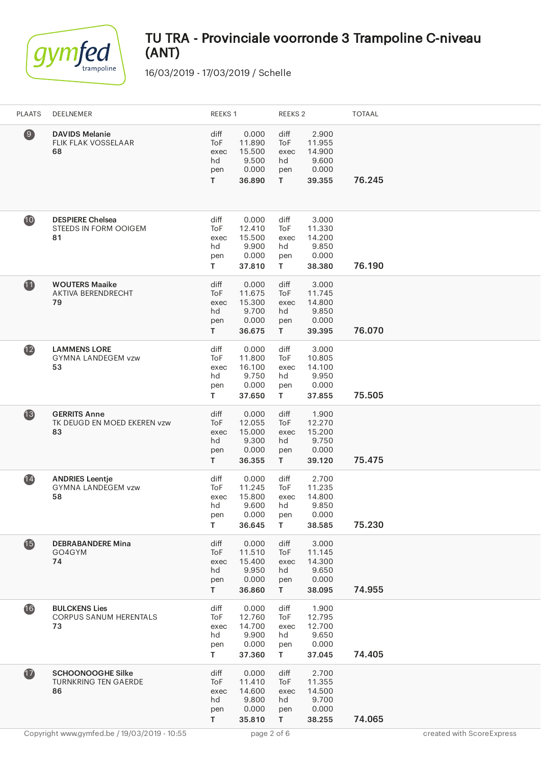

| <b>PLAATS</b>            | DEELNEMER                                                     | REEKS 1                                |                                                       | REEKS <sub>2</sub>                     |                                                       | <b>TOTAAL</b> |
|--------------------------|---------------------------------------------------------------|----------------------------------------|-------------------------------------------------------|----------------------------------------|-------------------------------------------------------|---------------|
| $\circledcirc$           | <b>DAVIDS Melanie</b><br>FLIK FLAK VOSSELAAR<br>68            | diff<br>ToF<br>exec<br>hd<br>pen<br>T. | 0.000<br>11.890<br>15.500<br>9.500<br>0.000<br>36.890 | diff<br>ToF<br>exec<br>hd<br>pen<br>T. | 2.900<br>11.955<br>14.900<br>9.600<br>0.000<br>39.355 | 76.245        |
| 10                       | <b>DESPIERE Chelsea</b><br>STEEDS IN FORM OOIGEM<br>81        | diff<br>ToF<br>exec<br>hd<br>pen<br>T. | 0.000<br>12.410<br>15.500<br>9.900<br>0.000<br>37.810 | diff<br>ToF<br>exec<br>hd<br>pen<br>T. | 3.000<br>11.330<br>14.200<br>9.850<br>0.000<br>38.380 | 76.190        |
| $\bf{1}$                 | <b>WOUTERS Maaike</b><br><b>AKTIVA BERENDRECHT</b><br>79      | diff<br>ToF<br>exec<br>hd<br>pen<br>T. | 0.000<br>11.675<br>15.300<br>9.700<br>0.000<br>36.675 | diff<br>ToF<br>exec<br>hd<br>pen<br>T. | 3.000<br>11.745<br>14.800<br>9.850<br>0.000<br>39.395 | 76.070        |
| $\mathbf{12}$            | <b>LAMMENS LORE</b><br><b>GYMNA LANDEGEM vzw</b><br>53        | diff<br>ToF<br>exec<br>hd<br>pen<br>T. | 0.000<br>11.800<br>16.100<br>9.750<br>0.000<br>37.650 | diff<br>ToF<br>exec<br>hd<br>pen<br>T. | 3.000<br>10.805<br>14.100<br>9.950<br>0.000<br>37.855 | 75.505        |
| $\mathbf{\overline{13}}$ | <b>GERRITS Anne</b><br>TK DEUGD EN MOED EKEREN vzw<br>83      | diff<br>ToF<br>exec<br>hd<br>pen<br>T. | 0.000<br>12.055<br>15.000<br>9.300<br>0.000<br>36.355 | diff<br>ToF<br>exec<br>hd<br>pen<br>T  | 1.900<br>12.270<br>15.200<br>9.750<br>0.000<br>39.120 | 75.475        |
| $\overline{14}$          | <b>ANDRIES Leentje</b><br><b>GYMNA LANDEGEM vzw</b><br>58     | diff<br>ToF<br>exec<br>hd<br>pen<br>T. | 0.000<br>11.245<br>15.800<br>9.600<br>0.000<br>36.645 | diff<br>ToF<br>exec<br>hd<br>pen<br>T  | 2.700<br>11.235<br>14.800<br>9.850<br>0.000<br>38.585 | 75.230        |
| $\bullet$                | <b>DEBRABANDERE Mina</b><br>GO4GYM<br>74                      | diff<br>ToF<br>exec<br>hd<br>pen<br>T  | 0.000<br>11.510<br>15.400<br>9.950<br>0.000<br>36.860 | diff<br>ToF<br>exec<br>hd<br>pen<br>T. | 3.000<br>11.145<br>14.300<br>9.650<br>0.000<br>38.095 | 74.955        |
| $\overline{16}$          | <b>BULCKENS Lies</b><br>CORPUS SANUM HERENTALS<br>73          | diff<br>ToF<br>exec<br>hd<br>pen<br>T  | 0.000<br>12.760<br>14.700<br>9.900<br>0.000<br>37.360 | diff<br>ToF<br>exec<br>hd<br>pen<br>T. | 1.900<br>12.795<br>12.700<br>9.650<br>0.000<br>37.045 | 74.405        |
| $\mathbf{r}$             | <b>SCHOONOOGHE Silke</b><br><b>TURNKRING TEN GAERDE</b><br>86 | diff<br>ToF<br>exec<br>hd<br>pen<br>T. | 0.000<br>11.410<br>14.600<br>9.800<br>0.000<br>35.810 | diff<br>ToF<br>exec<br>hd<br>pen<br>T. | 2.700<br>11.355<br>14.500<br>9.700<br>0.000<br>38.255 | 74.065        |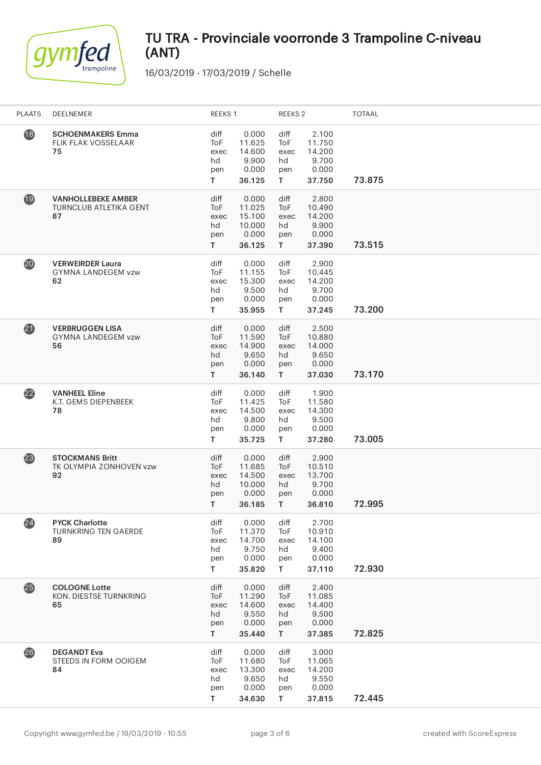

| <b>PLAATS</b>   | DEELNEMER                                                        | REEKS 1                                          |                                                        | REEKS <sub>2</sub>                     |                                                       | TOTAAL |
|-----------------|------------------------------------------------------------------|--------------------------------------------------|--------------------------------------------------------|----------------------------------------|-------------------------------------------------------|--------|
| $\overline{18}$ | <b>SCHOENMAKERS Emma</b><br>FLIK FLAK VOSSELAAR<br>75            | diff<br>ToF<br>exec<br>hd<br>pen<br>T.           | 0.000<br>11.625<br>14.600<br>9.900<br>0.000<br>36.125  | diff<br>ToF<br>exec<br>hd<br>pen<br>T. | 2.100<br>11.750<br>14.200<br>9.700<br>0.000<br>37.750 | 73.875 |
| 19              | <b>VANHOLLEBEKE AMBER</b><br><b>TURNCLUB ATLETIKA GENT</b><br>87 | diff<br>ToF<br>exec<br>hd<br>pen<br>T.           | 0.000<br>11.025<br>15.100<br>10.000<br>0.000<br>36.125 | diff<br>ToF<br>exec<br>hd<br>pen<br>T. | 2.800<br>10.490<br>14.200<br>9.900<br>0.000<br>37.390 | 73.515 |
| 20              | <b>VERWEIRDER Laura</b><br><b>GYMNA LANDEGEM vzw</b><br>62       | diff<br>ToF<br>exec<br>hd<br>pen<br>T.           | 0.000<br>11.155<br>15.300<br>9.500<br>0.000<br>35.955  | diff<br>ToF<br>exec<br>hd<br>pen<br>T. | 2.900<br>10.445<br>14.200<br>9.700<br>0.000<br>37.245 | 73.200 |
| 21              | <b>VERBRUGGEN LISA</b><br><b>GYMNA LANDEGEM vzw</b><br>56        | diff<br>ToF<br>exec<br>hd<br>pen<br>T.           | 0.000<br>11.590<br>14.900<br>9.650<br>0.000<br>36.140  | diff<br>ToF<br>exec<br>hd<br>pen<br>T. | 2.500<br>10.880<br>14.000<br>9.650<br>0.000<br>37.030 | 73.170 |
| $\overline{22}$ | <b>VANHEEL Eline</b><br>K.T. GEMS DIEPENBEEK<br>78               | diff<br>ToF<br>exec<br>hd<br>pen<br>T.           | 0.000<br>11.425<br>14.500<br>9.800<br>0.000<br>35.725  | diff<br>ToF<br>exec<br>hd<br>pen<br>T. | 1.900<br>11.580<br>14.300<br>9.500<br>0.000<br>37.280 | 73.005 |
| (23)            | <b>STOCKMANS Britt</b><br>TK OLYMPIA ZONHOVEN vzw<br>92          | diff<br>ToF<br>exec<br>hd<br>pen<br>T.           | 0.000<br>11.685<br>14.500<br>10.000<br>0.000<br>36.185 | diff<br>ToF<br>exec<br>hd<br>pen<br>T. | 2.900<br>10.510<br>13.700<br>9.700<br>0.000<br>36.810 | 72.995 |
| (24)            | <b>PYCK Charlotte</b><br><b>TURNKRING TEN GAERDE</b><br>89       | diff<br>ToF<br>exec<br>hd<br>pen<br>T.           | 0.000<br>11.370<br>14.700<br>9.750<br>0.000<br>35.820  | diff<br>ToF<br>exec<br>hd<br>pen<br>T. | 2.700<br>10.910<br>14.100<br>9.400<br>0.000<br>37.110 | 72.930 |
| 25              | <b>COLOGNE Lotte</b><br>KON. DIESTSE TURNKRING<br>65             | diff<br>ToF<br>exec<br>hd<br>pen<br>$\mathsf{T}$ | 0.000<br>11.290<br>14.600<br>9.550<br>0.000<br>35.440  | diff<br>ToF<br>exec<br>hd<br>pen<br>T. | 2.400<br>11.085<br>14.400<br>9.500<br>0.000<br>37.385 | 72.825 |
| 26              | <b>DEGANDT Eva</b><br>STEEDS IN FORM OOIGEM<br>84                | diff<br>ToF<br>exec<br>hd<br>pen<br>T.           | 0.000<br>11.680<br>13.300<br>9.650<br>0.000<br>34.630  | diff<br>ToF<br>exec<br>hd<br>pen<br>T  | 3.000<br>11.065<br>14.200<br>9.550<br>0.000<br>37.815 | 72.445 |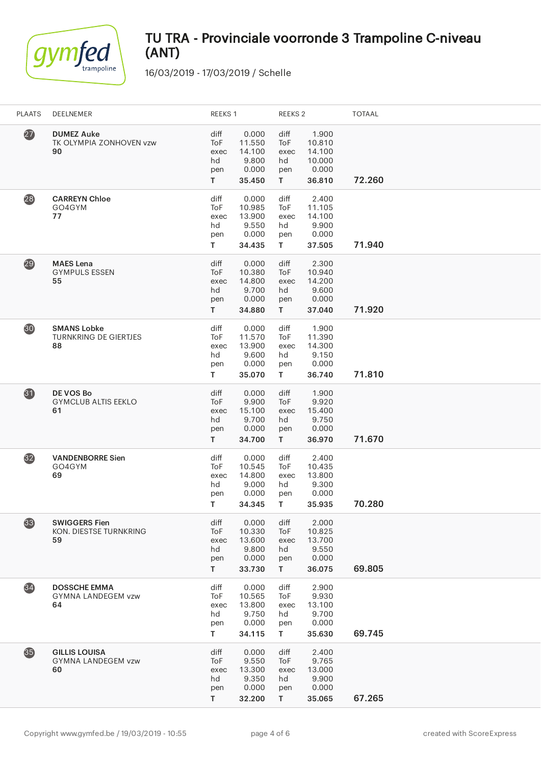

| <b>PLAATS</b>     | DEELNEMER                                                | REEKS 1                                |                                                       | REEKS <sub>2</sub>                     |                                                        | <b>TOTAAL</b> |
|-------------------|----------------------------------------------------------|----------------------------------------|-------------------------------------------------------|----------------------------------------|--------------------------------------------------------|---------------|
| $\overline{27}$   | <b>DUMEZ Auke</b><br>TK OLYMPIA ZONHOVEN vzw<br>90       | diff<br>ToF<br>exec<br>hd<br>pen<br>T. | 0.000<br>11.550<br>14.100<br>9.800<br>0.000<br>35.450 | diff<br>ToF<br>exec<br>hd<br>pen<br>T. | 1.900<br>10.810<br>14.100<br>10.000<br>0.000<br>36.810 | 72.260        |
| (28)              | <b>CARREYN Chloe</b><br>GO4GYM<br>77                     | diff<br>ToF<br>exec<br>hd<br>pen<br>T. | 0.000<br>10.985<br>13.900<br>9.550<br>0.000<br>34.435 | diff<br>ToF<br>exec<br>hd<br>pen<br>T. | 2.400<br>11.105<br>14.100<br>9.900<br>0.000<br>37.505  | 71.940        |
| 29                | <b>MAES</b> Lena<br><b>GYMPULS ESSEN</b><br>55           | diff<br>ToF<br>exec<br>hd<br>pen<br>T. | 0.000<br>10.380<br>14.800<br>9.700<br>0.000<br>34.880 | diff<br>ToF<br>exec<br>hd<br>pen<br>T  | 2.300<br>10.940<br>14.200<br>9.600<br>0.000<br>37.040  | 71.920        |
| 30                | <b>SMANS Lobke</b><br><b>TURNKRING DE GIERTJES</b><br>88 | diff<br>ToF<br>exec<br>hd<br>pen<br>T. | 0.000<br>11.570<br>13.900<br>9.600<br>0.000<br>35.070 | diff<br>ToF<br>exec<br>hd<br>pen<br>T  | 1.900<br>11.390<br>14.300<br>9.150<br>0.000<br>36.740  | 71.810        |
| $\boldsymbol{31}$ | DE VOS Bo<br><b>GYMCLUB ALTIS EEKLO</b><br>61            | diff<br>ToF<br>exec<br>hd<br>pen<br>T. | 0.000<br>9.900<br>15.100<br>9.700<br>0.000<br>34.700  | diff<br>ToF<br>exec<br>hd<br>pen<br>T. | 1.900<br>9.920<br>15.400<br>9.750<br>0.000<br>36.970   | 71.670        |
| (32)              | <b>VANDENBORRE Sien</b><br>GO4GYM<br>69                  | diff<br>ToF<br>exec<br>hd<br>pen<br>T. | 0.000<br>10.545<br>14.800<br>9.000<br>0.000<br>34.345 | diff<br>ToF<br>exec<br>hd<br>pen<br>T  | 2.400<br>10.435<br>13.800<br>9.300<br>0.000<br>35.935  | 70.280        |
| 33                | <b>SWIGGERS Fien</b><br>KON. DIESTSE TURNKRING<br>59     | diff<br>ToF<br>exec<br>hd<br>pen<br>T. | 0.000<br>10.330<br>13.600<br>9.800<br>0.000<br>33.730 | diff<br>ToF<br>exec<br>hd<br>pen<br>T. | 2.000<br>10.825<br>13.700<br>9.550<br>0.000<br>36.075  | 69.805        |
| $\overline{34}$   | <b>DOSSCHE EMMA</b><br><b>GYMNA LANDEGEM vzw</b><br>64   | diff<br>ToF<br>exec<br>hd<br>pen<br>T. | 0.000<br>10.565<br>13.800<br>9.750<br>0.000<br>34.115 | diff<br>ToF<br>exec<br>hd<br>pen<br>T. | 2.900<br>9.930<br>13.100<br>9.700<br>0.000<br>35.630   | 69.745        |
| 35                | <b>GILLIS LOUISA</b><br><b>GYMNA LANDEGEM vzw</b><br>60  | diff<br>ToF<br>exec<br>hd<br>pen<br>T. | 0.000<br>9.550<br>13.300<br>9.350<br>0.000<br>32.200  | diff<br>ToF<br>exec<br>hd<br>pen<br>T. | 2.400<br>9.765<br>13.000<br>9.900<br>0.000<br>35.065   | 67.265        |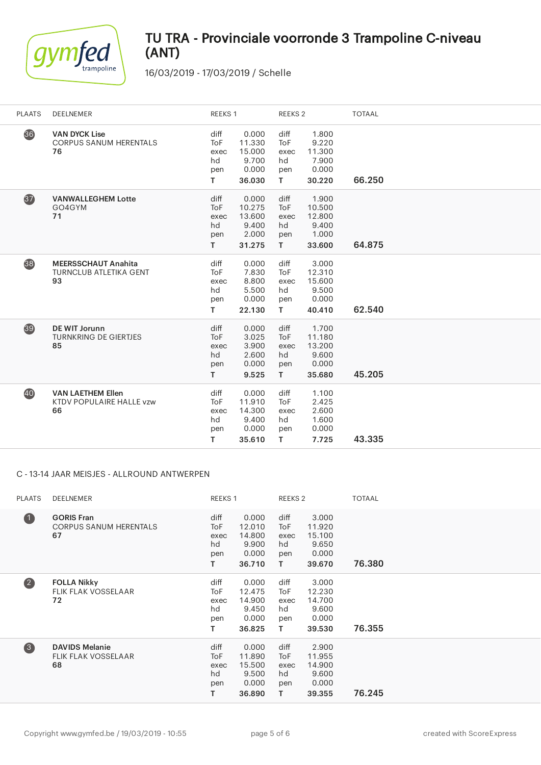

16/03/2019 - 17/03/2019 / Schelle

| <b>PLAATS</b> | DEELNEMER                                                         | REEKS 1                                       |                                                       | REEKS 2                                       |                                                       | <b>TOTAAL</b> |
|---------------|-------------------------------------------------------------------|-----------------------------------------------|-------------------------------------------------------|-----------------------------------------------|-------------------------------------------------------|---------------|
| 36            | <b>VAN DYCK Lise</b><br><b>CORPUS SANUM HERENTALS</b><br>76       | diff<br>ToF<br>exec<br>hd<br>pen<br>T.        | 0.000<br>11.330<br>15.000<br>9.700<br>0.000<br>36.030 | diff<br><b>ToF</b><br>exec<br>hd<br>pen<br>T. | 1.800<br>9.220<br>11.300<br>7.900<br>0.000<br>30.220  | 66.250        |
| 37            | <b>VANWALLEGHEM Lotte</b><br>GO4GYM<br>71                         | diff<br><b>ToF</b><br>exec<br>hd<br>pen<br>T. | 0.000<br>10.275<br>13.600<br>9.400<br>2.000<br>31.275 | diff<br><b>ToF</b><br>exec<br>hd<br>pen<br>T. | 1.900<br>10.500<br>12.800<br>9.400<br>1.000<br>33.600 | 64.875        |
| 38            | <b>MEERSSCHAUT Anahita</b><br><b>TURNCLUB ATLETIKA GENT</b><br>93 | diff<br><b>ToF</b><br>exec<br>hd<br>pen<br>T. | 0.000<br>7.830<br>8.800<br>5.500<br>0.000<br>22.130   | diff<br><b>ToF</b><br>exec<br>hd<br>pen<br>T. | 3.000<br>12.310<br>15.600<br>9.500<br>0.000<br>40.410 | 62.540        |
| 39            | <b>DE WIT Jorunn</b><br><b>TURNKRING DE GIERTJES</b><br>85        | diff<br><b>ToF</b><br>exec<br>hd<br>pen<br>T. | 0.000<br>3.025<br>3.900<br>2.600<br>0.000<br>9.525    | diff<br><b>ToF</b><br>exec<br>hd<br>pen<br>T. | 1.700<br>11.180<br>13.200<br>9.600<br>0.000<br>35.680 | 45.205        |
| 40            | <b>VAN LAETHEM Ellen</b><br>KTDV POPULAIRE HALLE vzw<br>66        | diff<br><b>ToF</b><br>exec<br>hd<br>pen<br>T. | 0.000<br>11.910<br>14.300<br>9.400<br>0.000<br>35.610 | diff<br><b>ToF</b><br>exec<br>hd<br>pen<br>T. | 1.100<br>2.425<br>2.600<br>1.600<br>0.000<br>7.725    | 43.335        |

### C - 13-14 JAAR MEISJES - ALLROUND ANTWERPEN

| <b>PLAATS</b>           | <b>DEELNEMER</b>                                          | REEKS 1                                           |                                                       | REEKS 2                                |                                                       | <b>TOTAAL</b> |
|-------------------------|-----------------------------------------------------------|---------------------------------------------------|-------------------------------------------------------|----------------------------------------|-------------------------------------------------------|---------------|
| $\bullet$               | <b>GORIS Fran</b><br><b>CORPUS SANUM HERENTALS</b><br>67  | diff<br><b>ToF</b><br>exec<br>hd<br>pen<br>т      | 0.000<br>12.010<br>14.800<br>9.900<br>0.000<br>36.710 | diff<br>ToF<br>exec<br>hd<br>pen<br>T. | 3.000<br>11.920<br>15.100<br>9.650<br>0.000<br>39.670 | 76.380        |
| $\overline{\mathbf{2}}$ | <b>FOLLA Nikky</b><br><b>FLIK FLAK VOSSELAAR</b><br>72    | diff<br>ToF<br>exec<br>hd<br>pen<br>т             | 0.000<br>12.475<br>14.900<br>9.450<br>0.000<br>36.825 | diff<br>ToF<br>exec<br>hd<br>pen<br>Τ  | 3.000<br>12.230<br>14.700<br>9.600<br>0.000<br>39.530 | 76.355        |
| $\left(3\right)$        | <b>DAVIDS Melanie</b><br><b>FLIK FLAK VOSSELAAR</b><br>68 | diff<br>To <sub>F</sub><br>exec<br>hd<br>pen<br>т | 0.000<br>11.890<br>15.500<br>9.500<br>0.000<br>36.890 | diff<br>ToF<br>exec<br>hd<br>pen<br>T. | 2.900<br>11.955<br>14.900<br>9.600<br>0.000<br>39.355 | 76.245        |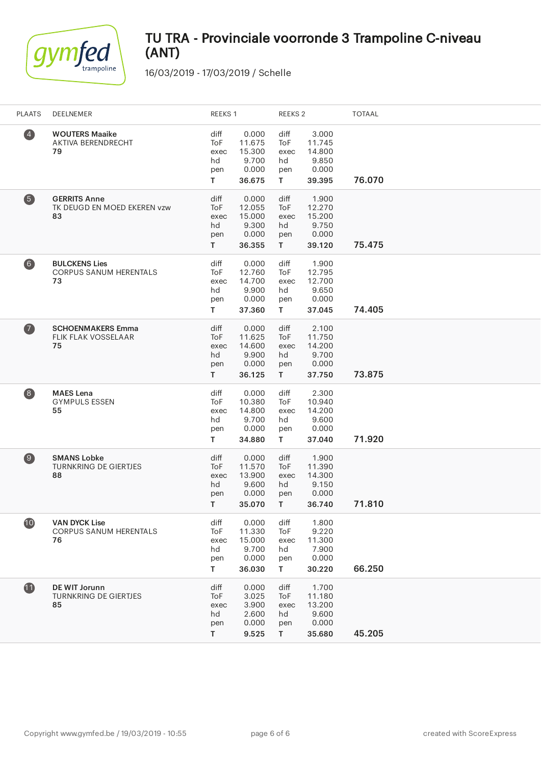

| <b>PLAATS</b>                           | DEELNEMER                                                   | REEKS 1                                |                                                       | REEKS <sub>2</sub>                     |                                                       | <b>TOTAAL</b> |
|-----------------------------------------|-------------------------------------------------------------|----------------------------------------|-------------------------------------------------------|----------------------------------------|-------------------------------------------------------|---------------|
| $\overline{4}$                          | <b>WOUTERS Maaike</b><br><b>AKTIVA BERENDRECHT</b><br>79    | diff<br>ToF<br>exec<br>hd<br>pen<br>T. | 0.000<br>11.675<br>15.300<br>9.700<br>0.000<br>36.675 | diff<br>ToF<br>exec<br>hd<br>pen<br>T. | 3.000<br>11.745<br>14.800<br>9.850<br>0.000<br>39.395 | 76.070        |
| 6                                       | <b>GERRITS Anne</b><br>TK DEUGD EN MOED EKEREN vzw<br>83    | diff<br>ToF<br>exec<br>hd<br>pen<br>T. | 0.000<br>12.055<br>15.000<br>9.300<br>0.000<br>36.355 | diff<br>ToF<br>exec<br>hd<br>pen<br>T. | 1.900<br>12.270<br>15.200<br>9.750<br>0.000<br>39.120 | 75.475        |
| $\left( 6\right)$                       | <b>BULCKENS Lies</b><br><b>CORPUS SANUM HERENTALS</b><br>73 | diff<br>ToF<br>exec<br>hd<br>pen<br>T. | 0.000<br>12.760<br>14.700<br>9.900<br>0.000<br>37.360 | diff<br>ToF<br>exec<br>hd<br>pen<br>T. | 1.900<br>12.795<br>12.700<br>9.650<br>0.000<br>37.045 | 74.405        |
| $\boldsymbol{\sigma}$                   | <b>SCHOENMAKERS Emma</b><br>FLIK FLAK VOSSELAAR<br>75       | diff<br>ToF<br>exec<br>hd<br>pen<br>T. | 0.000<br>11.625<br>14.600<br>9.900<br>0.000<br>36.125 | diff<br>ToF<br>exec<br>hd<br>pen<br>T. | 2.100<br>11.750<br>14.200<br>9.700<br>0.000<br>37.750 | 73.875        |
| $\begin{array}{c} \hline 8 \end{array}$ | <b>MAES</b> Lena<br><b>GYMPULS ESSEN</b><br>55              | diff<br>ToF<br>exec<br>hd<br>pen<br>T. | 0.000<br>10.380<br>14.800<br>9.700<br>0.000<br>34.880 | diff<br>ToF<br>exec<br>hd<br>pen<br>T. | 2.300<br>10.940<br>14.200<br>9.600<br>0.000<br>37.040 | 71.920        |
| $\circledcirc$                          | <b>SMANS Lobke</b><br>TURNKRING DE GIERTJES<br>88           | diff<br>ToF<br>exec<br>hd<br>pen<br>T. | 0.000<br>11.570<br>13.900<br>9.600<br>0.000<br>35.070 | diff<br>ToF<br>exec<br>hd<br>pen<br>T. | 1.900<br>11.390<br>14.300<br>9.150<br>0.000<br>36.740 | 71.810        |
| $\mathbf{10}$                           | <b>VAN DYCK Lise</b><br><b>CORPUS SANUM HERENTALS</b><br>76 | diff<br>ToF<br>exec<br>hd<br>pen<br>T. | 0.000<br>11.330<br>15.000<br>9.700<br>0.000<br>36.030 | diff<br>ToF<br>exec<br>hd<br>pen<br>T. | 1.800<br>9.220<br>11.300<br>7.900<br>0.000<br>30.220  | 66.250        |
| 1                                       | DE WIT Jorunn<br><b>TURNKRING DE GIERTJES</b><br>85         | diff<br>ToF<br>exec<br>hd<br>pen<br>T. | 0.000<br>3.025<br>3.900<br>2.600<br>0.000<br>9.525    | diff<br>ToF<br>exec<br>hd<br>pen<br>T. | 1.700<br>11.180<br>13.200<br>9.600<br>0.000<br>35.680 | 45.205        |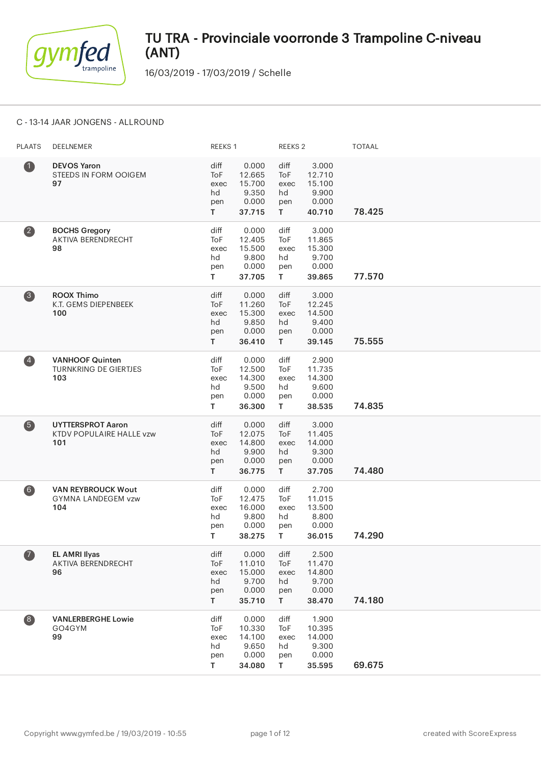

16/03/2019 - 17/03/2019 / Schelle

### C - 13-14 JAAR JONGENS - ALLROUND

| <b>PLAATS</b>           | DEELNEMER                                                     | REEKS 1                                |                                                       | REEKS <sub>2</sub>                              |                                                       | <b>TOTAAL</b> |
|-------------------------|---------------------------------------------------------------|----------------------------------------|-------------------------------------------------------|-------------------------------------------------|-------------------------------------------------------|---------------|
| $\bullet$               | <b>DEVOS Yaron</b><br>STEEDS IN FORM OOIGEM<br>97             | diff<br>ToF<br>exec<br>hd<br>pen<br>T. | 0.000<br>12.665<br>15.700<br>9.350<br>0.000<br>37.715 | diff<br>ToF<br>exec<br>hd<br>pen<br>T.          | 3.000<br>12.710<br>15.100<br>9.900<br>0.000<br>40.710 | 78.425        |
| $\overline{\mathbf{2}}$ | <b>BOCHS Gregory</b><br>AKTIVA BERENDRECHT<br>98              | diff<br>ToF<br>exec<br>hd<br>pen<br>T. | 0.000<br>12.405<br>15.500<br>9.800<br>0.000<br>37.705 | diff<br>ToF<br>exec<br>hd<br>pen<br>$\mathsf T$ | 3.000<br>11.865<br>15.300<br>9.700<br>0.000<br>39.865 | 77.570        |
| 3                       | <b>ROOX Thimo</b><br>K.T. GEMS DIEPENBEEK<br>100              | diff<br>ToF<br>exec<br>hd<br>pen<br>T. | 0.000<br>11.260<br>15.300<br>9.850<br>0.000<br>36.410 | diff<br>ToF<br>exec<br>hd<br>pen<br>T.          | 3.000<br>12.245<br>14.500<br>9.400<br>0.000<br>39.145 | 75.555        |
| $\left( 4\right)$       | <b>VANHOOF Quinten</b><br><b>TURNKRING DE GIERTJES</b><br>103 | diff<br>ToF<br>exec<br>hd<br>pen<br>T. | 0.000<br>12.500<br>14.300<br>9.500<br>0.000<br>36.300 | diff<br>ToF<br>exec<br>hd<br>pen<br>T.          | 2.900<br>11.735<br>14.300<br>9.600<br>0.000<br>38.535 | 74.835        |
| 6                       | <b>UYTTERSPROT Aaron</b><br>KTDV POPULAIRE HALLE vzw<br>101   | diff<br>ToF<br>exec<br>hd<br>pen<br>T. | 0.000<br>12.075<br>14.800<br>9.900<br>0.000<br>36.775 | diff<br>ToF<br>exec<br>hd<br>pen<br>T.          | 3.000<br>11.405<br>14.000<br>9.300<br>0.000<br>37.705 | 74.480        |
| $6$                     | <b>VAN REYBROUCK Wout</b><br><b>GYMNA LANDEGEM vzw</b><br>104 | diff<br>ToF<br>exec<br>hd<br>pen<br>T. | 0.000<br>12.475<br>16.000<br>9.800<br>0.000<br>38.275 | diff<br>ToF<br>exec<br>hd<br>pen<br>T.          | 2.700<br>11.015<br>13.500<br>8.800<br>0.000<br>36.015 | 74.290        |
| $\overline{\mathbf{a}}$ | <b>EL AMRI Ilyas</b><br>AKTIVA BERENDRECHT<br>96              | diff<br>ToF<br>exec<br>hd<br>pen<br>T. | 0.000<br>11.010<br>15.000<br>9.700<br>0.000<br>35.710 | diff<br>ToF<br>exec<br>hd<br>pen<br>T.          | 2.500<br>11.470<br>14.800<br>9.700<br>0.000<br>38.470 | 74.180        |
| $\bullet$               | <b>VANLERBERGHE Lowie</b><br>GO4GYM<br>99                     | diff<br>ToF<br>exec<br>hd<br>pen<br>Τ  | 0.000<br>10.330<br>14.100<br>9.650<br>0.000<br>34.080 | diff<br>ToF<br>exec<br>hd<br>pen<br>T.          | 1.900<br>10.395<br>14.000<br>9.300<br>0.000<br>35.595 | 69.675        |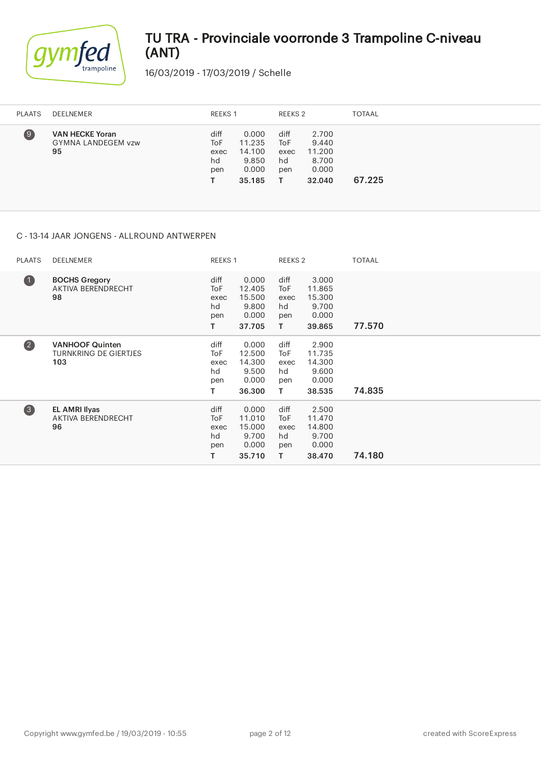

16/03/2019 - 17/03/2019 / Schelle

| <b>PLAATS</b>     | DEELNEMER                                                 |                                  | REEKS 1                                               |                                  | REEKS 2                                              | <b>TOTAAL</b> |
|-------------------|-----------------------------------------------------------|----------------------------------|-------------------------------------------------------|----------------------------------|------------------------------------------------------|---------------|
| $\left( 9\right)$ | <b>VAN HECKE Yoran</b><br><b>GYMNA LANDEGEM vzw</b><br>95 | diff<br>ToF<br>exec<br>hd<br>pen | 0.000<br>11.235<br>14.100<br>9.850<br>0.000<br>35.185 | diff<br>ToF<br>exec<br>hd<br>pen | 2.700<br>9.440<br>11.200<br>8.700<br>0.000<br>32.040 | 67.225        |

### C - 13-14 JAAR JONGENS - ALLROUND ANTWERPEN

| <b>PLAATS</b>           | <b>DEELNEMER</b>                                              | REEKS 1                                           |                                                       | REEKS 2                                       |                                                       | <b>TOTAAL</b> |
|-------------------------|---------------------------------------------------------------|---------------------------------------------------|-------------------------------------------------------|-----------------------------------------------|-------------------------------------------------------|---------------|
| $\bullet$               | <b>BOCHS Gregory</b><br>AKTIVA BERENDRECHT<br>98              | diff<br>To <sub>F</sub><br>exec<br>hd<br>pen<br>т | 0.000<br>12.405<br>15.500<br>9.800<br>0.000<br>37.705 | diff<br><b>ToF</b><br>exec<br>hd<br>pen<br>T. | 3.000<br>11.865<br>15.300<br>9.700<br>0.000<br>39.865 | 77.570        |
| $\overline{\mathbf{2}}$ | <b>VANHOOF Quinten</b><br><b>TURNKRING DE GIERTJES</b><br>103 | diff<br>To <sub>F</sub><br>exec<br>hd<br>pen<br>т | 0.000<br>12.500<br>14.300<br>9.500<br>0.000<br>36.300 | diff<br>ToF<br>exec<br>hd<br>pen<br>T.        | 2.900<br>11.735<br>14.300<br>9.600<br>0.000<br>38.535 | 74.835        |
| 3                       | <b>EL AMRI Ilyas</b><br>AKTIVA BERENDRECHT<br>96              | diff<br>ToF<br>exec<br>hd<br>pen<br>т             | 0.000<br>11.010<br>15.000<br>9.700<br>0.000<br>35.710 | diff<br>ToF<br>exec<br>hd<br>pen<br>T.        | 2.500<br>11.470<br>14.800<br>9.700<br>0.000<br>38.470 | 74.180        |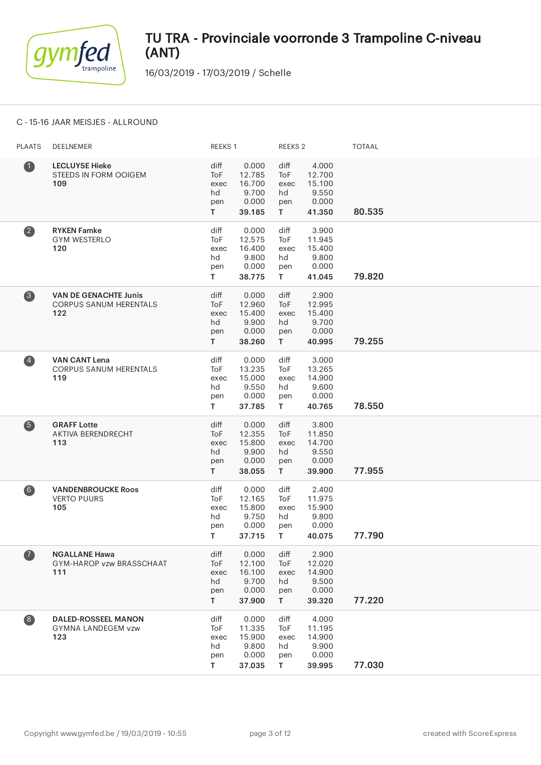

16/03/2019 - 17/03/2019 / Schelle

#### C - 15-16 JAAR MEISJES - ALLROUND

| <b>PLAATS</b>           | DEELNEMER                                                            | REEKS 1                                |                                                       | REEKS <sub>2</sub>                     |                                                       | <b>TOTAAL</b> |
|-------------------------|----------------------------------------------------------------------|----------------------------------------|-------------------------------------------------------|----------------------------------------|-------------------------------------------------------|---------------|
| $\bf 0$                 | <b>LECLUYSE Hieke</b><br>STEEDS IN FORM OOIGEM<br>109                | diff<br>ToF<br>exec<br>hd<br>pen<br>T. | 0.000<br>12.785<br>16.700<br>9.700<br>0.000<br>39.185 | diff<br>ToF<br>exec<br>hd<br>pen<br>T. | 4.000<br>12.700<br>15.100<br>9.550<br>0.000<br>41.350 | 80.535        |
| $\overline{\mathbf{2}}$ | <b>RYKEN Famke</b><br><b>GYM WESTERLO</b><br>120                     | diff<br>ToF<br>exec<br>hd<br>pen<br>T. | 0.000<br>12.575<br>16.400<br>9.800<br>0.000<br>38.775 | diff<br>ToF<br>exec<br>hd<br>pen<br>T. | 3.900<br>11.945<br>15.400<br>9.800<br>0.000<br>41.045 | 79.820        |
| 3                       | <b>VAN DE GENACHTE Junis</b><br><b>CORPUS SANUM HERENTALS</b><br>122 | diff<br>ToF<br>exec<br>hd<br>pen<br>T. | 0.000<br>12.960<br>15.400<br>9.900<br>0.000<br>38.260 | diff<br>ToF<br>exec<br>hd<br>pen<br>T. | 2.900<br>12.995<br>15.400<br>9.700<br>0.000<br>40.995 | 79.255        |
| $\overline{\mathbf{A}}$ | <b>VAN CANT Lena</b><br><b>CORPUS SANUM HERENTALS</b><br>119         | diff<br>ToF<br>exec<br>hd<br>pen<br>T. | 0.000<br>13.235<br>15.000<br>9.550<br>0.000<br>37.785 | diff<br>ToF<br>exec<br>hd<br>pen<br>T. | 3.000<br>13.265<br>14.900<br>9.600<br>0.000<br>40.765 | 78.550        |
| 6                       | <b>GRAFF Lotte</b><br>AKTIVA BERENDRECHT<br>113                      | diff<br>ToF<br>exec<br>hd<br>pen<br>T. | 0.000<br>12.355<br>15.800<br>9.900<br>0.000<br>38.055 | diff<br>ToF<br>exec<br>hd<br>pen<br>T. | 3.800<br>11.850<br>14.700<br>9.550<br>0.000<br>39.900 | 77.955        |
| 6)                      | <b>VANDENBROUCKE Roos</b><br><b>VERTO PUURS</b><br>105               | diff<br>ToF<br>exec<br>hd<br>pen<br>T. | 0.000<br>12.165<br>15.800<br>9.750<br>0.000<br>37.715 | diff<br>ToF<br>exec<br>hd<br>pen<br>T. | 2.400<br>11.975<br>15.900<br>9.800<br>0.000<br>40.075 | 77.790        |
| $\boldsymbol{\sigma}$   | <b>NGALLANE Hawa</b><br>GYM-HAROP vzw BRASSCHAAT<br>111              | diff<br>ToF<br>exec<br>hd<br>pen<br>T. | 0.000<br>12.100<br>16.100<br>9.700<br>0.000<br>37.900 | diff<br>ToF<br>exec<br>hd<br>pen<br>T. | 2.900<br>12.020<br>14.900<br>9.500<br>0.000<br>39.320 | 77.220        |
| 8                       | <b>DALED-ROSSEEL MANON</b><br><b>GYMNA LANDEGEM vzw</b><br>123       | diff<br>ToF<br>exec<br>hd<br>pen<br>T. | 0.000<br>11.335<br>15.900<br>9.800<br>0.000<br>37.035 | diff<br>ToF<br>exec<br>hd<br>pen<br>T. | 4.000<br>11.195<br>14.900<br>9.900<br>0.000<br>39.995 | 77.030        |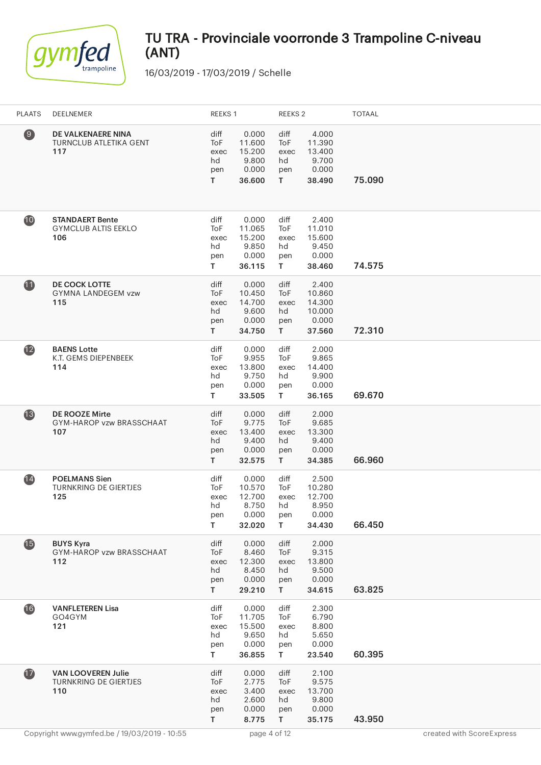

| <b>PLAATS</b>         | DEELNEMER                                                        | REEKS 1                                          |                                                       | REEKS <sub>2</sub>                     |                                                        | <b>TOTAAL</b> |                           |
|-----------------------|------------------------------------------------------------------|--------------------------------------------------|-------------------------------------------------------|----------------------------------------|--------------------------------------------------------|---------------|---------------------------|
| $\boldsymbol{\Theta}$ | DE VALKENAERE NINA<br><b>TURNCLUB ATLETIKA GENT</b><br>117       | diff<br>ToF<br>exec<br>hd<br>pen<br>$\mathsf{T}$ | 0.000<br>11.600<br>15.200<br>9.800<br>0.000<br>36.600 | diff<br>ToF<br>exec<br>hd<br>pen<br>T  | 4.000<br>11.390<br>13.400<br>9.700<br>0.000<br>38.490  | 75.090        |                           |
| 10                    | <b>STANDAERT Bente</b><br><b>GYMCLUB ALTIS EEKLO</b><br>106      | diff<br>ToF<br>exec<br>hd<br>pen<br>T.           | 0.000<br>11.065<br>15.200<br>9.850<br>0.000<br>36.115 | diff<br>ToF<br>exec<br>hd<br>pen<br>T. | 2.400<br>11.010<br>15.600<br>9.450<br>0.000<br>38.460  | 74.575        |                           |
| 11                    | <b>DE COCK LOTTE</b><br><b>GYMNA LANDEGEM vzw</b><br>115         | diff<br>ToF<br>exec<br>hd<br>pen<br>T.           | 0.000<br>10.450<br>14.700<br>9.600<br>0.000<br>34.750 | diff<br>ToF<br>exec<br>hd<br>pen<br>T. | 2.400<br>10.860<br>14.300<br>10.000<br>0.000<br>37.560 | 72.310        |                           |
| $\overline{12}$       | <b>BAENS Lotte</b><br>K.T. GEMS DIEPENBEEK<br>114                | diff<br>ToF<br>exec<br>hd<br>pen<br>T.           | 0.000<br>9.955<br>13.800<br>9.750<br>0.000<br>33.505  | diff<br>ToF<br>exec<br>hd<br>pen<br>T. | 2.000<br>9.865<br>14.400<br>9.900<br>0.000<br>36.165   | 69.670        |                           |
| $\overline{13}$       | <b>DE ROOZE Mirte</b><br>GYM-HAROP vzw BRASSCHAAT<br>107         | diff<br>ToF<br>exec<br>hd<br>pen<br>T.           | 0.000<br>9.775<br>13.400<br>9.400<br>0.000<br>32.575  | diff<br>ToF<br>exec<br>hd<br>pen<br>T. | 2.000<br>9.685<br>13.300<br>9.400<br>0.000<br>34.385   | 66.960        |                           |
| $\overline{14}$       | <b>POELMANS Sien</b><br><b>TURNKRING DE GIERTJES</b><br>125      | diff<br>ToF<br>exec<br>hd<br>pen<br>T            | 0.000<br>10.570<br>12.700<br>8.750<br>0.000<br>32.020 | diff<br>ToF<br>exec<br>hd<br>pen<br>T  | 2.500<br>10.280<br>12.700<br>8.950<br>0.000<br>34.430  | 66.450        |                           |
| $\mathbf{G}$          | <b>BUYS Kyra</b><br>GYM-HAROP vzw BRASSCHAAT<br>112              | diff<br>ToF<br>exec<br>hd<br>pen<br>T            | 0.000<br>8.460<br>12.300<br>8.450<br>0.000<br>29.210  | diff<br>ToF<br>exec<br>hd<br>pen<br>T. | 2.000<br>9.315<br>13.800<br>9.500<br>0.000<br>34.615   | 63.825        |                           |
| 16                    | <b>VANFLETEREN Lisa</b><br>GO4GYM<br>121                         | diff<br>ToF<br>exec<br>hd<br>pen<br>T.           | 0.000<br>11.705<br>15.500<br>9.650<br>0.000<br>36.855 | diff<br>ToF<br>exec<br>hd<br>pen<br>T. | 2.300<br>6.790<br>8.800<br>5.650<br>0.000<br>23.540    | 60.395        |                           |
| $\bf{D}$              | <b>VAN LOOVEREN Julie</b><br><b>TURNKRING DE GIERTJES</b><br>110 | diff<br>ToF<br>exec<br>hd<br>pen<br>T.           | 0.000<br>2.775<br>3.400<br>2.600<br>0.000<br>8.775    | diff<br>ToF<br>exec<br>hd<br>pen<br>T. | 2.100<br>9.575<br>13.700<br>9.800<br>0.000<br>35.175   | 43.950        |                           |
|                       | Copyright www.gymfed.be / 19/03/2019 - 10:55                     |                                                  | page 4 of 12                                          |                                        |                                                        |               | created with ScoreExpress |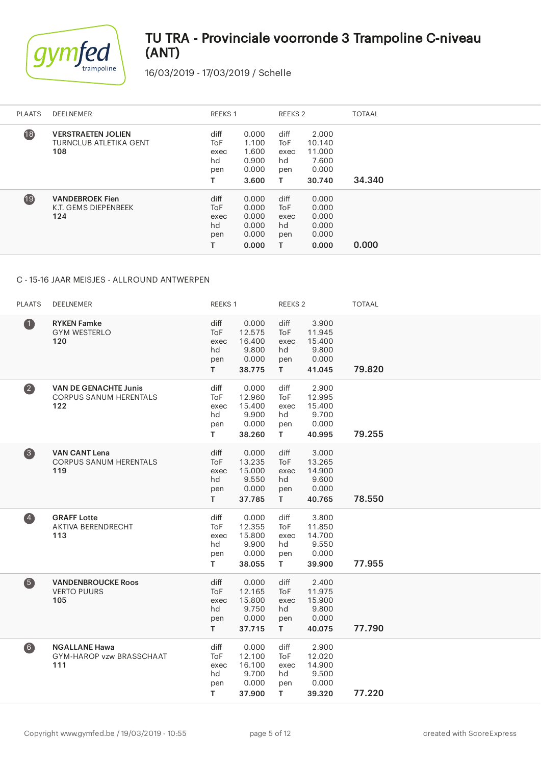

16/03/2019 - 17/03/2019 / Schelle

| <b>PLAATS</b>   | DEELNEMER                                                         | <b>REEKS1</b>                                 |                                                    | REEKS 2                                      |                                                       | <b>TOTAAL</b> |
|-----------------|-------------------------------------------------------------------|-----------------------------------------------|----------------------------------------------------|----------------------------------------------|-------------------------------------------------------|---------------|
| $\overline{18}$ | <b>VERSTRAETEN JOLIEN</b><br><b>TURNCLUB ATLETIKA GENT</b><br>108 | diff<br>ToF<br>exec<br>hd<br>pen              | 0.000<br>1.100<br>1.600<br>0.900<br>0.000<br>3.600 | diff<br>ToF<br>exec<br>hd<br>pen<br>т        | 2.000<br>10.140<br>11.000<br>7.600<br>0.000<br>30.740 | 34.340        |
| $\overline{19}$ | <b>VANDEBROEK Fien</b><br>K.T. GEMS DIEPENBEEK<br>124             | diff<br><b>ToF</b><br>exec<br>hd<br>pen<br>T. | 0.000<br>0.000<br>0.000<br>0.000<br>0.000<br>0.000 | diff<br><b>ToF</b><br>exec<br>hd<br>pen<br>т | 0.000<br>0.000<br>0.000<br>0.000<br>0.000<br>0.000    | 0.000         |

### C - 15-16 JAAR MEISJES - ALLROUND ANTWERPEN

| <b>PLAATS</b>     | DEELNEMER                                                            | REEKS 1                                |                                                       | REEKS 2                                |                                                       | <b>TOTAAL</b> |
|-------------------|----------------------------------------------------------------------|----------------------------------------|-------------------------------------------------------|----------------------------------------|-------------------------------------------------------|---------------|
| $\bullet$         | <b>RYKEN Famke</b><br><b>GYM WESTERLO</b><br>120                     | diff<br>ToF<br>exec<br>hd<br>pen<br>T. | 0.000<br>12.575<br>16.400<br>9.800<br>0.000<br>38.775 | diff<br>ToF<br>exec<br>hd<br>pen<br>T. | 3.900<br>11.945<br>15.400<br>9.800<br>0.000<br>41.045 | 79.820        |
| $\boldsymbol{2}$  | <b>VAN DE GENACHTE Junis</b><br><b>CORPUS SANUM HERENTALS</b><br>122 | diff<br>ToF<br>exec<br>hd<br>pen<br>T. | 0.000<br>12.960<br>15.400<br>9.900<br>0.000<br>38.260 | diff<br>ToF<br>exec<br>hd<br>pen<br>T. | 2.900<br>12.995<br>15.400<br>9.700<br>0.000<br>40.995 | 79.255        |
| $\bullet$         | <b>VAN CANT Lena</b><br><b>CORPUS SANUM HERENTALS</b><br>119         | diff<br>ToF<br>exec<br>hd<br>pen<br>T. | 0.000<br>13.235<br>15.000<br>9.550<br>0.000<br>37.785 | diff<br>ToF<br>exec<br>hd<br>pen<br>T. | 3.000<br>13.265<br>14.900<br>9.600<br>0.000<br>40.765 | 78.550        |
| $\overline{4}$    | <b>GRAFF Lotte</b><br>AKTIVA BERENDRECHT<br>113                      | diff<br>ToF<br>exec<br>hd<br>pen<br>T. | 0.000<br>12.355<br>15.800<br>9.900<br>0.000<br>38.055 | diff<br>ToF<br>exec<br>hd<br>pen<br>T. | 3.800<br>11.850<br>14.700<br>9.550<br>0.000<br>39.900 | 77.955        |
| 6                 | <b>VANDENBROUCKE Roos</b><br><b>VERTO PUURS</b><br>105               | diff<br>ToF<br>exec<br>hd<br>pen<br>T. | 0.000<br>12.165<br>15.800<br>9.750<br>0.000<br>37.715 | diff<br>ToF<br>exec<br>hd<br>pen<br>T. | 2.400<br>11.975<br>15.900<br>9.800<br>0.000<br>40.075 | 77.790        |
| $\left( 6\right)$ | <b>NGALLANE Hawa</b><br>GYM-HAROP vzw BRASSCHAAT<br>111              | diff<br>ToF<br>exec<br>hd<br>pen<br>T. | 0.000<br>12.100<br>16.100<br>9.700<br>0.000<br>37.900 | diff<br>ToF<br>exec<br>hd<br>pen<br>T. | 2.900<br>12.020<br>14.900<br>9.500<br>0.000<br>39.320 | 77.220        |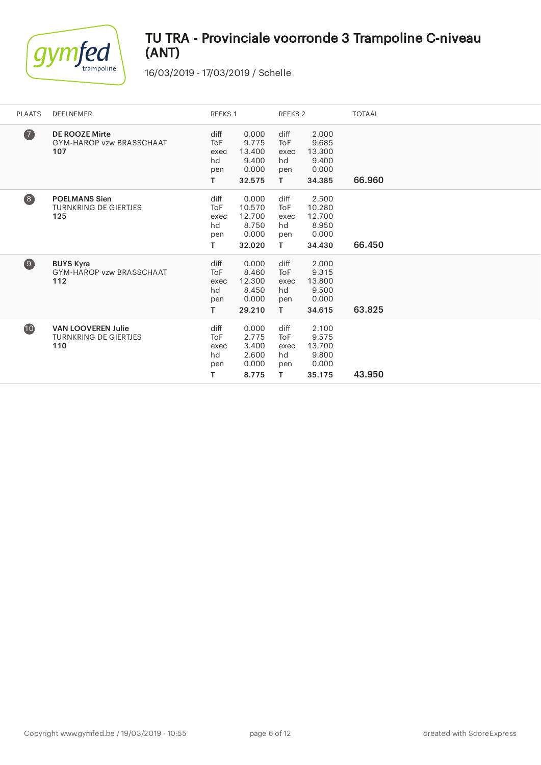

| <b>PLAATS</b>     | <b>DEELNEMER</b>                                                 | REEKS 1                                       |                                                       | REEKS 2                                       |                                                       | <b>TOTAAL</b> |
|-------------------|------------------------------------------------------------------|-----------------------------------------------|-------------------------------------------------------|-----------------------------------------------|-------------------------------------------------------|---------------|
| $\bullet$         | <b>DE ROOZE Mirte</b><br>GYM-HAROP vzw BRASSCHAAT<br>107         | diff<br><b>ToF</b><br>exec<br>hd<br>pen<br>T. | 0.000<br>9.775<br>13.400<br>9.400<br>0.000<br>32.575  | diff<br><b>ToF</b><br>exec<br>hd<br>pen<br>T. | 2.000<br>9.685<br>13.300<br>9.400<br>0.000<br>34.385  | 66.960        |
| $\left( 8\right)$ | <b>POELMANS Sien</b><br><b>TURNKRING DE GIERTJES</b><br>125      | diff<br><b>ToF</b><br>exec<br>hd<br>pen<br>T. | 0.000<br>10.570<br>12.700<br>8.750<br>0.000<br>32.020 | diff<br>ToF<br>exec<br>hd<br>pen<br>T.        | 2.500<br>10.280<br>12.700<br>8.950<br>0.000<br>34.430 | 66.450        |
| $\circledcirc$    | <b>BUYS Kyra</b><br>GYM-HAROP vzw BRASSCHAAT<br>112              | diff<br><b>ToF</b><br>exec<br>hd<br>pen<br>т  | 0.000<br>8.460<br>12.300<br>8.450<br>0.000<br>29.210  | diff<br><b>ToF</b><br>exec<br>hd<br>pen<br>T. | 2.000<br>9.315<br>13.800<br>9.500<br>0.000<br>34.615  | 63.825        |
| 10                | <b>VAN LOOVEREN Julie</b><br><b>TURNKRING DE GIERTJES</b><br>110 | diff<br><b>ToF</b><br>exec<br>hd<br>pen<br>т  | 0.000<br>2.775<br>3.400<br>2.600<br>0.000<br>8.775    | diff<br>ToF<br>exec<br>hd<br>pen<br>T.        | 2.100<br>9.575<br>13.700<br>9.800<br>0.000<br>35.175  | 43.950        |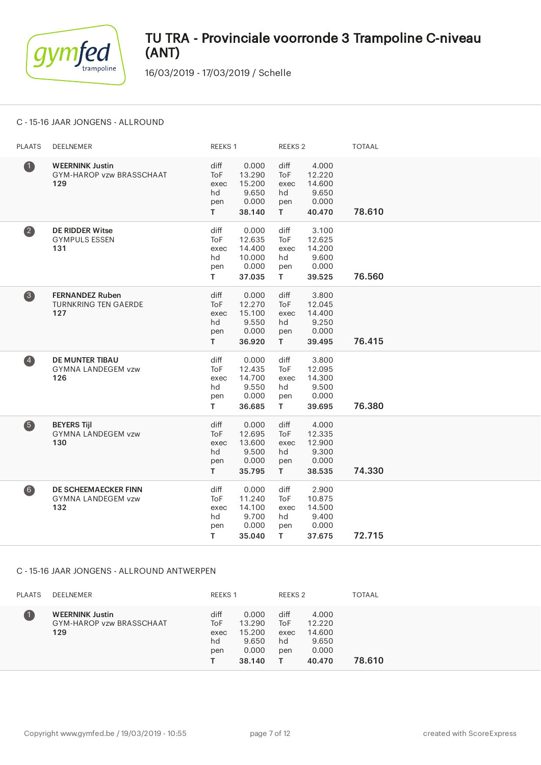

16/03/2019 - 17/03/2019 / Schelle

### C - 15-16 JAAR JONGENS - ALLROUND

| <b>PLAATS</b>  | DEELNEMER                                                       | REEKS 1                                       |                                                        | <b>REEKS 2</b>                                |                                                       | <b>TOTAAL</b> |
|----------------|-----------------------------------------------------------------|-----------------------------------------------|--------------------------------------------------------|-----------------------------------------------|-------------------------------------------------------|---------------|
| $\bf 0$        | <b>WEERNINK Justin</b><br>GYM-HAROP vzw BRASSCHAAT<br>129       | diff<br><b>ToF</b><br>exec<br>hd<br>pen<br>T. | 0.000<br>13.290<br>15.200<br>9.650<br>0.000<br>38.140  | diff<br>ToF<br>exec<br>hd<br>pen<br>T.        | 4.000<br>12.220<br>14.600<br>9.650<br>0.000<br>40.470 | 78.610        |
| $\bullet$      | <b>DE RIDDER Witse</b><br><b>GYMPULS ESSEN</b><br>131           | diff<br><b>ToF</b><br>exec<br>hd<br>pen<br>T. | 0.000<br>12.635<br>14.400<br>10.000<br>0.000<br>37.035 | diff<br>ToF<br>exec<br>hd<br>pen<br>T.        | 3.100<br>12.625<br>14.200<br>9.600<br>0.000<br>39.525 | 76.560        |
| 8              | <b>FERNANDEZ Ruben</b><br><b>TURNKRING TEN GAERDE</b><br>127    | diff<br><b>ToF</b><br>exec<br>hd<br>pen<br>T. | 0.000<br>12.270<br>15.100<br>9.550<br>0.000<br>36.920  | diff<br><b>ToF</b><br>exec<br>hd<br>pen<br>T. | 3.800<br>12.045<br>14.400<br>9.250<br>0.000<br>39.495 | 76.415        |
| $\overline{4}$ | <b>DE MUNTER TIBAU</b><br><b>GYMNA LANDEGEM vzw</b><br>126      | diff<br><b>ToF</b><br>exec<br>hd<br>pen<br>T. | 0.000<br>12.435<br>14.700<br>9.550<br>0.000<br>36.685  | diff<br><b>ToF</b><br>exec<br>hd<br>pen<br>T. | 3.800<br>12.095<br>14.300<br>9.500<br>0.000<br>39.695 | 76.380        |
| 6              | <b>BEYERS Tijl</b><br><b>GYMNA LANDEGEM vzw</b><br>130          | diff<br><b>ToF</b><br>exec<br>hd<br>pen<br>T. | 0.000<br>12.695<br>13.600<br>9.500<br>0.000<br>35.795  | diff<br>ToF<br>exec<br>hd<br>pen<br>T.        | 4.000<br>12.335<br>12.900<br>9.300<br>0.000<br>38.535 | 74.330        |
| 6              | <b>DE SCHEEMAECKER FINN</b><br><b>GYMNA LANDEGEM vzw</b><br>132 | diff<br><b>ToF</b><br>exec<br>hd<br>pen<br>T. | 0.000<br>11.240<br>14.100<br>9.700<br>0.000<br>35.040  | diff<br>ToF<br>exec<br>hd<br>pen<br>T.        | 2.900<br>10.875<br>14.500<br>9.400<br>0.000<br>37.675 | 72.715        |

### C - 15-16 JAAR JONGENS - ALLROUND ANTWERPEN

| <b>PLAATS</b> | DEELNEMER                                                 | <b>REEKS 1</b>                   |                                                       | REEKS 2                          |                                                       | TOTAAL |
|---------------|-----------------------------------------------------------|----------------------------------|-------------------------------------------------------|----------------------------------|-------------------------------------------------------|--------|
|               | <b>WEERNINK Justin</b><br>GYM-HAROP vzw BRASSCHAAT<br>129 | diff<br>ToF<br>exec<br>hd<br>pen | 0.000<br>13.290<br>15.200<br>9.650<br>0.000<br>38.140 | diff<br>ToF<br>exec<br>hd<br>pen | 4.000<br>12.220<br>14.600<br>9.650<br>0.000<br>40.470 | 78.610 |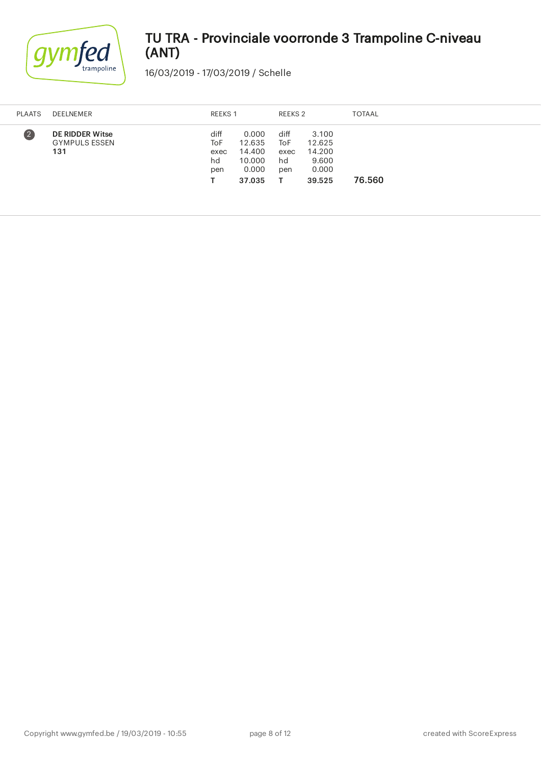

| <b>PLAATS</b>           | DEELNEMER                                             | REEKS 1                          |                                                        | REEKS 2                          |                                                       | <b>TOTAAL</b> |
|-------------------------|-------------------------------------------------------|----------------------------------|--------------------------------------------------------|----------------------------------|-------------------------------------------------------|---------------|
| $\overline{\mathbf{C}}$ | <b>DE RIDDER Witse</b><br><b>GYMPULS ESSEN</b><br>131 | diff<br>ToF<br>exec<br>hd<br>pen | 0.000<br>12.635<br>14.400<br>10.000<br>0.000<br>37.035 | diff<br>ToF<br>exec<br>hd<br>pen | 3.100<br>12.625<br>14.200<br>9.600<br>0.000<br>39.525 | 76.560        |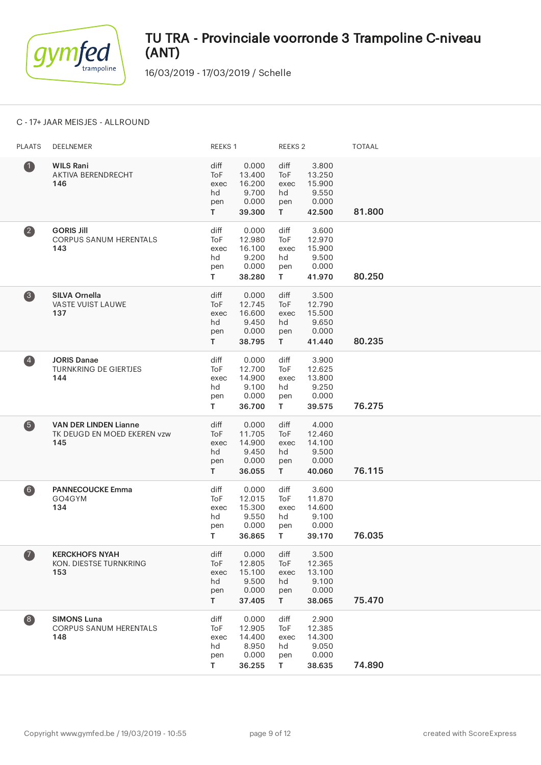

16/03/2019 - 17/03/2019 / Schelle

### C - 17+ JAAR MEISJES - ALLROUND

| <b>PLAATS</b>                           | DEELNEMER                                                          | REEKS 1                                |                                                       | REEKS <sub>2</sub>                            |                                                       | <b>TOTAAL</b> |
|-----------------------------------------|--------------------------------------------------------------------|----------------------------------------|-------------------------------------------------------|-----------------------------------------------|-------------------------------------------------------|---------------|
| $\bf 0$                                 | <b>WILS Rani</b><br>AKTIVA BERENDRECHT<br>146                      | diff<br>ToF<br>exec<br>hd<br>pen<br>T. | 0.000<br>13.400<br>16.200<br>9.700<br>0.000<br>39.300 | diff<br>ToF<br>exec<br>hd<br>pen<br>T.        | 3.800<br>13.250<br>15.900<br>9.550<br>0.000<br>42.500 | 81.800        |
| $\overline{\mathbf{2}}$                 | <b>GORIS Jill</b><br><b>CORPUS SANUM HERENTALS</b><br>143          | diff<br>ToF<br>exec<br>hd<br>pen<br>T. | 0.000<br>12.980<br>16.100<br>9.200<br>0.000<br>38.280 | diff<br>ToF<br>exec<br>hd<br>pen<br>T.        | 3.600<br>12.970<br>15.900<br>9.500<br>0.000<br>41.970 | 80.250        |
| 3                                       | <b>SILVA Ornella</b><br>VASTE VUIST LAUWE<br>137                   | diff<br>ToF<br>exec<br>hd<br>pen<br>T. | 0.000<br>12.745<br>16.600<br>9.450<br>0.000<br>38.795 | diff<br>ToF<br>exec<br>hd<br>pen<br>T.        | 3.500<br>12.790<br>15.500<br>9.650<br>0.000<br>41.440 | 80.235        |
| $\overline{\mathbf{A}}$                 | <b>JORIS Danae</b><br><b>TURNKRING DE GIERTJES</b><br>144          | diff<br>ToF<br>exec<br>hd<br>pen<br>T. | 0.000<br>12.700<br>14.900<br>9.100<br>0.000<br>36.700 | diff<br><b>ToF</b><br>exec<br>hd<br>pen<br>T. | 3.900<br>12.625<br>13.800<br>9.250<br>0.000<br>39.575 | 76.275        |
| 6                                       | <b>VAN DER LINDEN Lianne</b><br>TK DEUGD EN MOED EKEREN vzw<br>145 | diff<br>ToF<br>exec<br>hd<br>pen<br>T. | 0.000<br>11.705<br>14.900<br>9.450<br>0.000<br>36.055 | diff<br>ToF<br>exec<br>hd<br>pen<br>T.        | 4.000<br>12.460<br>14.100<br>9.500<br>0.000<br>40.060 | 76.115        |
| $\bullet$                               | <b>PANNECOUCKE Emma</b><br>GO4GYM<br>134                           | diff<br>ToF<br>exec<br>hd<br>pen<br>T. | 0.000<br>12.015<br>15.300<br>9.550<br>0.000<br>36.865 | diff<br>ToF<br>exec<br>hd<br>pen<br>T.        | 3.600<br>11.870<br>14.600<br>9.100<br>0.000<br>39.170 | 76.035        |
| $\bullet$                               | <b>KERCKHOFS NYAH</b><br>KON. DIESTSE TURNKRING<br>153             | diff<br>ToF<br>exec<br>hd<br>pen<br>T. | 0.000<br>12.805<br>15.100<br>9.500<br>0.000<br>37.405 | diff<br>ToF<br>exec<br>hd<br>pen<br>T.        | 3.500<br>12.365<br>13.100<br>9.100<br>0.000<br>38.065 | 75.470        |
| $\begin{array}{c} \hline 8 \end{array}$ | <b>SIMONS Luna</b><br><b>CORPUS SANUM HERENTALS</b><br>148         | diff<br>ToF<br>exec<br>hd<br>pen<br>T. | 0.000<br>12.905<br>14.400<br>8.950<br>0.000<br>36.255 | diff<br>ToF<br>exec<br>hd<br>pen<br>T         | 2.900<br>12.385<br>14.300<br>9.050<br>0.000<br>38.635 | 74.890        |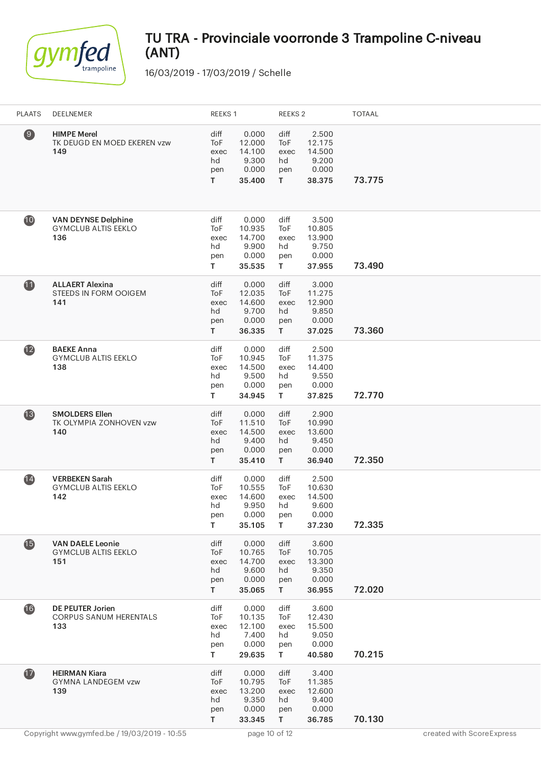

| <b>PLAATS</b>     | DEELNEMER                                                       | REEKS 1                                          |                                                       | REEKS <sub>2</sub>                     |                                                       | <b>TOTAAL</b> |
|-------------------|-----------------------------------------------------------------|--------------------------------------------------|-------------------------------------------------------|----------------------------------------|-------------------------------------------------------|---------------|
| $\left( 9\right)$ | <b>HIMPE Merel</b><br>TK DEUGD EN MOED EKEREN vzw<br>149        | diff<br>ToF<br>exec<br>hd<br>pen<br>$\mathsf{T}$ | 0.000<br>12.000<br>14.100<br>9.300<br>0.000<br>35.400 | diff<br>ToF<br>exec<br>hd<br>pen<br>T. | 2.500<br>12.175<br>14.500<br>9.200<br>0.000<br>38.375 | 73.775        |
| 10                | <b>VAN DEYNSE Delphine</b><br><b>GYMCLUB ALTIS EEKLO</b><br>136 | diff<br>ToF<br>exec<br>hd<br>pen<br>T.           | 0.000<br>10.935<br>14.700<br>9.900<br>0.000<br>35.535 | diff<br>ToF<br>exec<br>hd<br>pen<br>T. | 3.500<br>10.805<br>13.900<br>9.750<br>0.000<br>37.955 | 73.490        |
| $\bf{1}$          | <b>ALLAERT Alexina</b><br>STEEDS IN FORM OOIGEM<br>141          | diff<br>ToF<br>exec<br>hd<br>pen<br>T.           | 0.000<br>12.035<br>14.600<br>9.700<br>0.000<br>36.335 | diff<br>ToF<br>exec<br>hd<br>pen<br>T. | 3.000<br>11.275<br>12.900<br>9.850<br>0.000<br>37.025 | 73.360        |
| $\mathbf{12}$     | <b>BAEKE Anna</b><br><b>GYMCLUB ALTIS EEKLO</b><br>138          | diff<br>ToF<br>exec<br>hd<br>pen<br>T.           | 0.000<br>10.945<br>14.500<br>9.500<br>0.000<br>34.945 | diff<br>ToF<br>exec<br>hd<br>pen<br>T. | 2.500<br>11.375<br>14.400<br>9.550<br>0.000<br>37.825 | 72.770        |
| $\bullet$         | <b>SMOLDERS Ellen</b><br>TK OLYMPIA ZONHOVEN vzw<br>140         | diff<br>ToF<br>exec<br>hd<br>pen<br>T.           | 0.000<br>11.510<br>14.500<br>9.400<br>0.000<br>35.410 | diff<br>ToF<br>exec<br>hd<br>pen<br>T. | 2.900<br>10.990<br>13.600<br>9.450<br>0.000<br>36.940 | 72.350        |
| $\overline{14}$   | <b>VERBEKEN Sarah</b><br><b>GYMCLUB ALTIS EEKLO</b><br>142      | diff<br>ToF<br>exec<br>hd<br>pen<br>T.           | 0.000<br>10.555<br>14.600<br>9.950<br>0.000<br>35.105 | diff<br>ToF<br>exec<br>hd<br>pen<br>T. | 2.500<br>10.630<br>14.500<br>9.600<br>0.000<br>37.230 | 72.335        |
| $\bigoplus$       | <b>VAN DAELE Leonie</b><br><b>GYMCLUB ALTIS EEKLO</b><br>151    | diff<br>ToF<br>exec<br>hd<br>pen<br>T            | 0.000<br>10.765<br>14.700<br>9.600<br>0.000<br>35.065 | diff<br>ToF<br>exec<br>hd<br>pen<br>T. | 3.600<br>10.705<br>13.300<br>9.350<br>0.000<br>36.955 | 72.020        |
| 16                | <b>DE PEUTER Jorien</b><br>CORPUS SANUM HERENTALS<br>133        | diff<br>ToF<br>exec<br>hd<br>pen<br>T.           | 0.000<br>10.135<br>12.100<br>7.400<br>0.000<br>29.635 | diff<br>ToF<br>exec<br>hd<br>pen<br>T. | 3.600<br>12.430<br>15.500<br>9.050<br>0.000<br>40.580 | 70.215        |
| $\mathbf{1}$      | <b>HEIRMAN Kiara</b><br>GYMNA LANDEGEM vzw<br>139               | diff<br>ToF<br>exec<br>hd<br>pen<br>$\mathsf{T}$ | 0.000<br>10.795<br>13.200<br>9.350<br>0.000<br>33.345 | diff<br>ToF<br>exec<br>hd<br>pen<br>T. | 3.400<br>11.385<br>12.600<br>9.400<br>0.000<br>36.785 | 70.130        |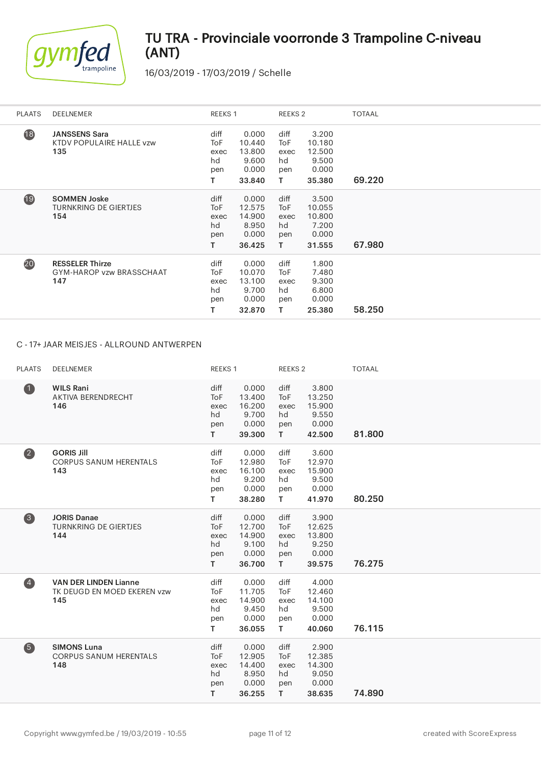

16/03/2019 - 17/03/2019 / Schelle

| <b>PLAATS</b> | <b>DEELNEMER</b>                                           | REEKS 1                                            |                                                       | REEKS <sub>2</sub>                     |                                                       | <b>TOTAAL</b> |
|---------------|------------------------------------------------------------|----------------------------------------------------|-------------------------------------------------------|----------------------------------------|-------------------------------------------------------|---------------|
| 18            | <b>JANSSENS Sara</b><br>KTDV POPULAIRE HALLE vzw<br>135    | diff<br>ToF<br>exec<br>hd<br>pen<br>T.             | 0.000<br>10.440<br>13.800<br>9.600<br>0.000<br>33.840 | diff<br>ToF<br>exec<br>hd<br>pen<br>т  | 3.200<br>10.180<br>12.500<br>9.500<br>0.000<br>35.380 | 69.220        |
| 19            | <b>SOMMEN Joske</b><br><b>TURNKRING DE GIERTJES</b><br>154 | diff<br>To <sub>F</sub><br>exec<br>hd<br>pen<br>T. | 0.000<br>12.575<br>14.900<br>8.950<br>0.000<br>36.425 | diff<br>ToF<br>exec<br>hd<br>pen<br>T. | 3.500<br>10.055<br>10.800<br>7.200<br>0.000<br>31.555 | 67.980        |
| 20            | <b>RESSELER Thirze</b><br>GYM-HAROP vzw BRASSCHAAT<br>147  | diff<br><b>ToF</b><br>exec<br>hd<br>pen<br>т       | 0.000<br>10.070<br>13.100<br>9.700<br>0.000<br>32.870 | diff<br>ToF<br>exec<br>hd<br>pen<br>т  | 1.800<br>7.480<br>9.300<br>6.800<br>0.000<br>25.380   | 58.250        |

### C - 17+ JAAR MEISJES - ALLROUND ANTWERPEN

| <b>PLAATS</b>  | DEELNEMER                                                          | REEKS <sub>1</sub>                            |                                                       | REEKS <sub>2</sub>                            |                                                       | <b>TOTAAL</b> |
|----------------|--------------------------------------------------------------------|-----------------------------------------------|-------------------------------------------------------|-----------------------------------------------|-------------------------------------------------------|---------------|
| $\bullet$      | <b>WILS Rani</b><br>AKTIVA BERENDRECHT<br>146                      | diff<br><b>ToF</b><br>exec<br>hd<br>pen<br>T. | 0.000<br>13.400<br>16.200<br>9.700<br>0.000<br>39.300 | diff<br>ToF<br>exec<br>hd<br>pen<br>T.        | 3.800<br>13.250<br>15.900<br>9.550<br>0.000<br>42.500 | 81.800        |
| $\bullet$      | <b>GORIS Jill</b><br><b>CORPUS SANUM HERENTALS</b><br>143          | diff<br>ToF<br>exec<br>hd<br>pen<br>T.        | 0.000<br>12.980<br>16.100<br>9.200<br>0.000<br>38.280 | diff<br><b>ToF</b><br>exec<br>hd<br>pen<br>T. | 3.600<br>12.970<br>15.900<br>9.500<br>0.000<br>41.970 | 80.250        |
| $\bullet$      | <b>JORIS Danae</b><br><b>TURNKRING DE GIERTJES</b><br>144          | diff<br>ToF<br>exec<br>hd<br>pen<br>T.        | 0.000<br>12.700<br>14.900<br>9.100<br>0.000<br>36.700 | diff<br>ToF<br>exec<br>hd<br>pen<br>T.        | 3.900<br>12.625<br>13.800<br>9.250<br>0.000<br>39.575 | 76.275        |
| $\overline{4}$ | <b>VAN DER LINDEN Lianne</b><br>TK DEUGD EN MOED EKEREN vzw<br>145 | diff<br>ToF<br>exec<br>hd<br>pen<br>T.        | 0.000<br>11.705<br>14.900<br>9.450<br>0.000<br>36.055 | diff<br><b>ToF</b><br>exec<br>hd<br>pen<br>T. | 4.000<br>12.460<br>14.100<br>9.500<br>0.000<br>40.060 | 76.115        |
| $\overline{5}$ | <b>SIMONS Luna</b><br><b>CORPUS SANUM HERENTALS</b><br>148         | diff<br><b>ToF</b><br>exec<br>hd<br>pen<br>T. | 0.000<br>12.905<br>14.400<br>8.950<br>0.000<br>36.255 | diff<br><b>ToF</b><br>exec<br>hd<br>pen<br>T. | 2.900<br>12.385<br>14.300<br>9.050<br>0.000<br>38.635 | 74.890        |